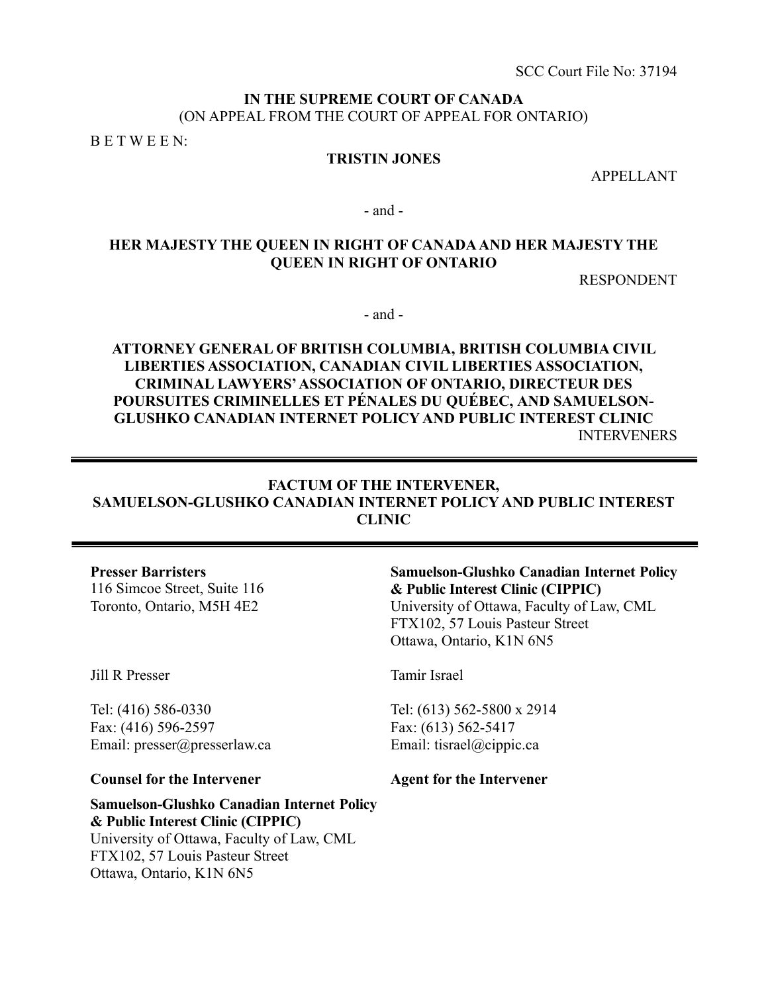# **IN THE SUPREME COURT OF CANADA** (ON APPEAL FROM THE COURT OF APPEAL FOR ONTARIO)

B E T W E E N:

# **TRISTIN JONES**

APPELLANT

- and -

# **HER MAJESTY THE QUEEN IN RIGHT OF CANADA AND HER MAJESTY THE QUEEN IN RIGHT OF ONTARIO**

RESPONDENT

- and -

# **ATTORNEY GENERAL OF BRITISH COLUMBIA, BRITISH COLUMBIA CIVIL LIBERTIES ASSOCIATION, CANADIAN CIVIL LIBERTIES ASSOCIATION, CRIMINAL LAWYERS' ASSOCIATION OF ONTARIO, DIRECTEUR DES POURSUITES CRIMINELLES ET PÉNALES DU QUÉBEC, AND SAMUELSON-GLUSHKO CANADIAN INTERNET POLICY AND PUBLIC INTEREST CLINIC**  INTERVENERS

# **FACTUM OF THE INTERVENER, SAMUELSON-GLUSHKO CANADIAN INTERNET POLICY AND PUBLIC INTEREST CLINIC**

**Presser Barristers** 

116 Simcoe Street, Suite 116 Toronto, Ontario, M5H 4E2

Jill R Presser

Tel: (416) 586-0330 Fax: (416) 596-2597 Email: presser@presserlaw.ca

**Counsel for the Intervener**

**Samuelson-Glushko Canadian Internet Policy & Public Interest Clinic (CIPPIC)**  University of Ottawa, Faculty of Law, CML

FTX102, 57 Louis Pasteur Street Ottawa, Ontario, K1N 6N5

Tamir Israel

Tel: (613) 562-5800 x 2914 Fax: (613) 562-5417 Email: tisrael@cippic.ca

**Agent for the Intervener** 

**Samuelson-Glushko Canadian Internet Policy & Public Interest Clinic (CIPPIC)**  University of Ottawa, Faculty of Law, CML FTX102, 57 Louis Pasteur Street Ottawa, Ontario, K1N 6N5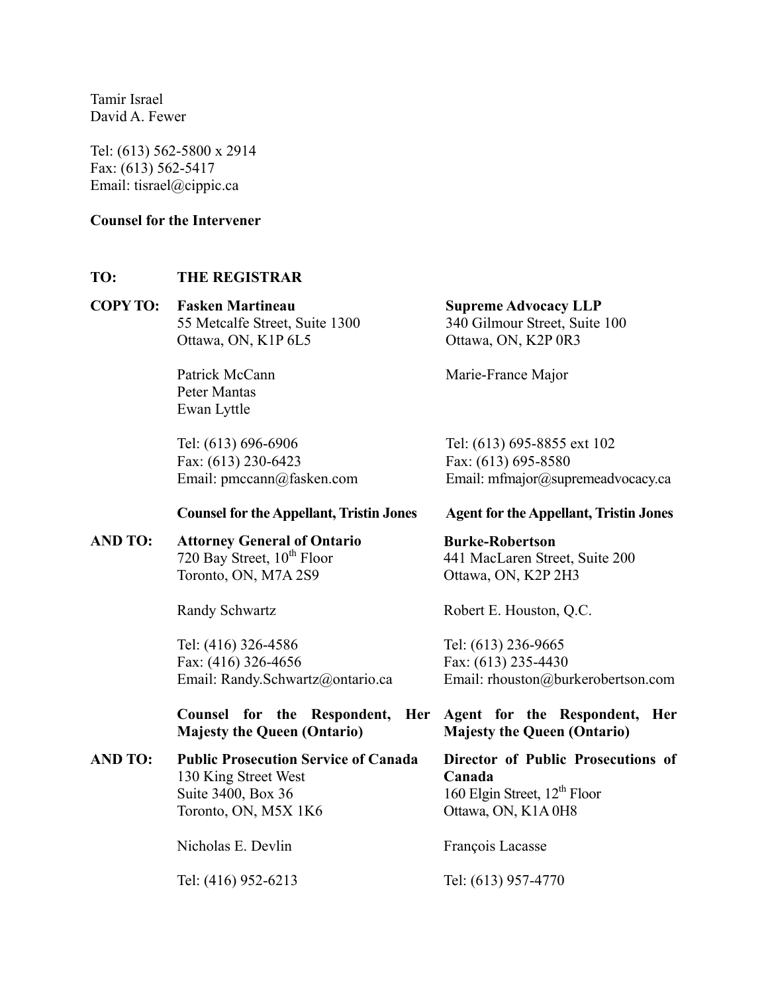Tamir Israel David A. Fewer

Tel: (613) 562-5800 x 2914 Fax: (613) 562-5417 Email: tisrael@cippic.ca

# **Counsel for the Intervener**

# **TO: THE REGISTRAR**

# **COPY TO: Fasken Martineau**  55 Metcalfe Street, Suite 1300 Ottawa, ON, K1P 6L5

Patrick McCann Peter Mantas Ewan Lyttle

Tel: (613) 696-6906 Fax: (613) 230-6423 Email: pmccann@fasken.com

#### **Counsel for the Appellant, Tristin Jones**

**AND TO: Attorney General of Ontario** 720 Bay Street,  $10^{th}$  Floor Toronto, ON, M7A 2S9

Randy Schwartz

Tel: (416) 326-4586 Fax: (416) 326-4656 Email: Randy.Schwartz@ontario.ca

**Counsel for the Respondent, Her Majesty the Queen (Ontario)** 

**AND TO: Public Prosecution Service of Canada**  130 King Street West Suite 3400, Box 36 Toronto, ON, M5X 1K6

Nicholas E. Devlin

Tel: (416) 952-6213

**Supreme Advocacy LLP**  340 Gilmour Street, Suite 100 Ottawa, ON, K2P 0R3

Marie-France Major

Tel: (613) 695-8855 ext 102 Fax: (613) 695-8580 Email: mfmajor@supremeadvocacy.ca

#### **Agent for the Appellant, Tristin Jones**

**Burke-Robertson**  441 MacLaren Street, Suite 200 Ottawa, ON, K2P 2H3

Robert E. Houston, Q.C.

Tel: (613) 236-9665 Fax: (613) 235-4430 Email: rhouston@burkerobertson.com

**Agent for the Respondent, Her Majesty the Queen (Ontario)** 

**Director of Public Prosecutions of Canada**  160 Elgin Street,  $12^{th}$  Floor Ottawa, ON, K1A 0H8

François Lacasse

Tel: (613) 957-4770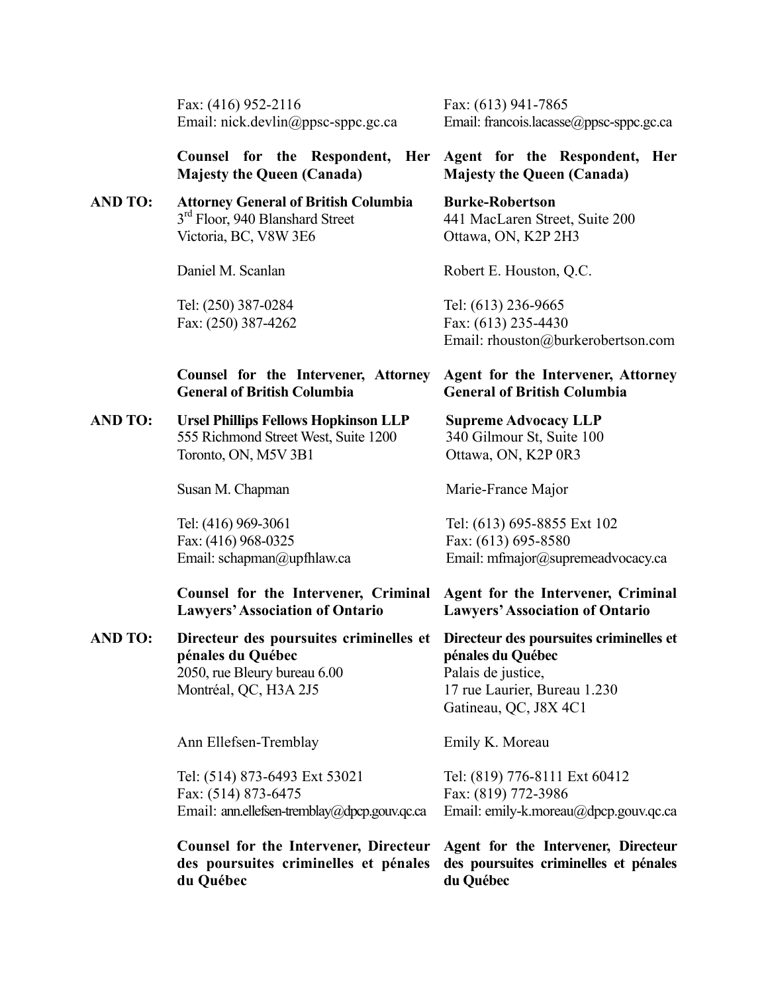Fax: (416) 952-2116 Email: nick.devlin@ppsc-sppc.gc.ca Fax: (613) 941-7865 Email: francois.lacasse@ppsc-sppc.gc.ca

Robert E. Houston, Q.C.

Tel: (613) 236-9665 Fax: (613) 235-4430

**Counsel for the Respondent, Her Majesty the Queen (Canada) Agent for the Respondent, Her Majesty the Queen (Canada)** 

#### **AND TO: Attorney General of British Columbia**  3<sup>rd</sup> Floor, 940 Blanshard Street Victoria, BC, V8W 3E6 **Burke-Robertson**  441 MacLaren Street, Suite 200 Ottawa, ON, K2P 2H3

Daniel M. Scanlan

Tel: (250) 387-0284 Fax: (250) 387-4262

# **Counsel for the Intervener, Attorney General of British Columbia**

**AND TO: Ursel Phillips Fellows Hopkinson LLP**  555 Richmond Street West, Suite 1200 Toronto, ON, M5V 3B1

Susan M. Chapman

Tel: (416) 969-3061 Fax: (416) 968-0325 Email: schapman@upfhlaw.ca Tel: (613) 695-8855 Ext 102 Fax: (613) 695-8580 Email: mfmajor@supremeadvocacy.ca

Email: rhouston@burkerobertson.com

**Agent for the Intervener, Attorney** 

**General of British Columbia** 

**Supreme Advocacy LLP**  340 Gilmour St, Suite 100 Ottawa, ON, K2P 0R3

Marie-France Major

Gatineau, QC, J8X 4C1

Emily K. Moreau

#### **Counsel for the Intervener, Criminal Lawyers' Association of Ontario Agent for the Intervener, Criminal Lawyers' Association of Ontario**

**AND TO: Directeur des poursuites criminelles et pénales du Québec**  2050, rue Bleury bureau 6.00 Montréal, QC, H3A 2J5 **Directeur des poursuites criminelles et pénales du Québec**  Palais de justice, 17 rue Laurier, Bureau 1.230

Ann Ellefsen-Tremblay

Tel: (514) 873-6493 Ext 53021 Fax: (514) 873-6475 Email: ann.ellefsen-tremblay@dpcp.gouv.qc.ca

**Counsel for the Intervener, Directeur des poursuites criminelles et pénales du Québec** 

Tel: (819) 776-8111 Ext 60412 Fax: (819) 772-3986 Email: emily-k.moreau@dpcp.gouv.qc.ca

**Agent for the Intervener, Directeur des poursuites criminelles et pénales du Québec**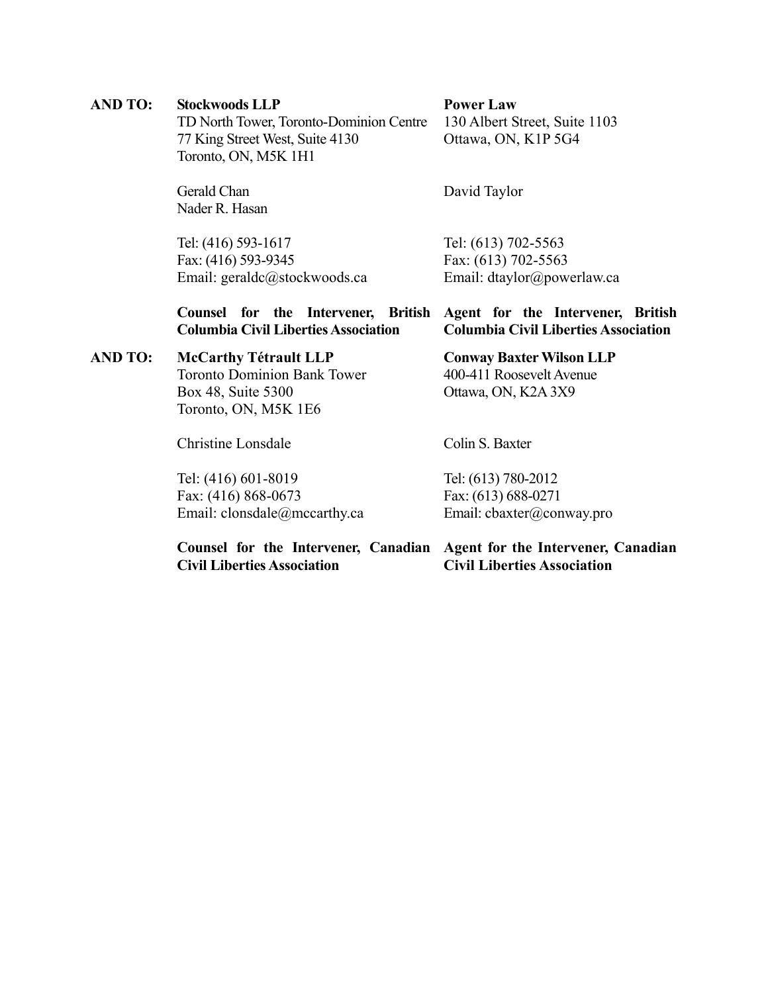# **AND TO: Stockwoods LLP**

TD North Tower, Toronto-Dominion Centre 77 King Street West, Suite 4130 Toronto, ON, M5K 1H1

Gerald Chan Nader R. Hasan

Tel: (416) 593-1617 Fax: (416) 593-9345 Email: geraldc@stockwoods.ca **Power Law** 130 Albert Street, Suite 1103 Ottawa, ON, K1P 5G4

David Taylor

Tel: (613) 702-5563 Fax: (613) 702-5563 Email: dtaylor@powerlaw.ca

|                                             |  |  | Counsel for the Intervener, British Agent for the Intervener, British |                                             |  |  |  |  |  |
|---------------------------------------------|--|--|-----------------------------------------------------------------------|---------------------------------------------|--|--|--|--|--|
| <b>Columbia Civil Liberties Association</b> |  |  |                                                                       | <b>Columbia Civil Liberties Association</b> |  |  |  |  |  |

# **AND TO: McCarthy Tétrault LLP**

Toronto Dominion Bank Tower Box 48, Suite 5300 Toronto, ON, M5K 1E6

Christine Lonsdale

Tel: (416) 601-8019 Fax: (416) 868-0673 Email: clonsdale@mccarthy.ca

### **Conway Baxter Wilson LLP**

400-411 Roosevelt Avenue Ottawa, ON, K2A 3X9

Colin S. Baxter

Tel: (613) 780-2012 Fax: (613) 688-0271 Email: cbaxter@conway.pro

**Counsel for the Intervener, Canadian Agent for the Intervener, Canadian Civil Liberties Association Civil Liberties Association**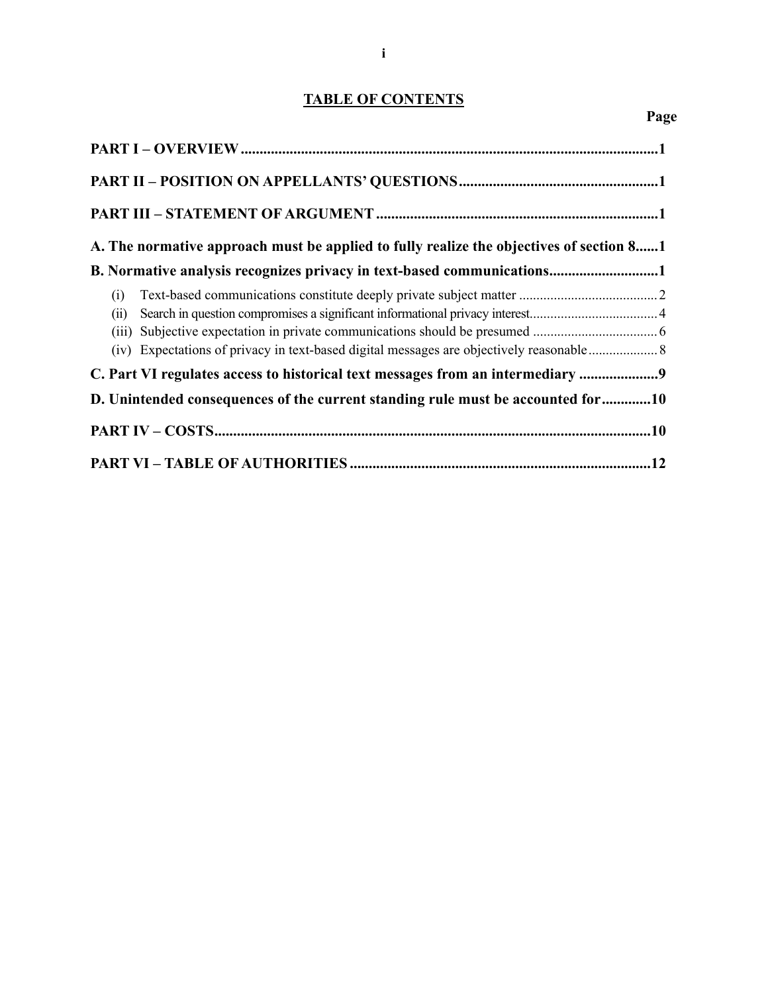# **TABLE OF CONTENTS**

**Page** 

| A. The normative approach must be applied to fully realize the objectives of section 81 |
|-----------------------------------------------------------------------------------------|
| B. Normative analysis recognizes privacy in text-based communications1                  |
| (i)<br>(ii)<br>(iii)                                                                    |
| C. Part VI regulates access to historical text messages from an intermediary            |
| D. Unintended consequences of the current standing rule must be accounted for 10        |
|                                                                                         |
|                                                                                         |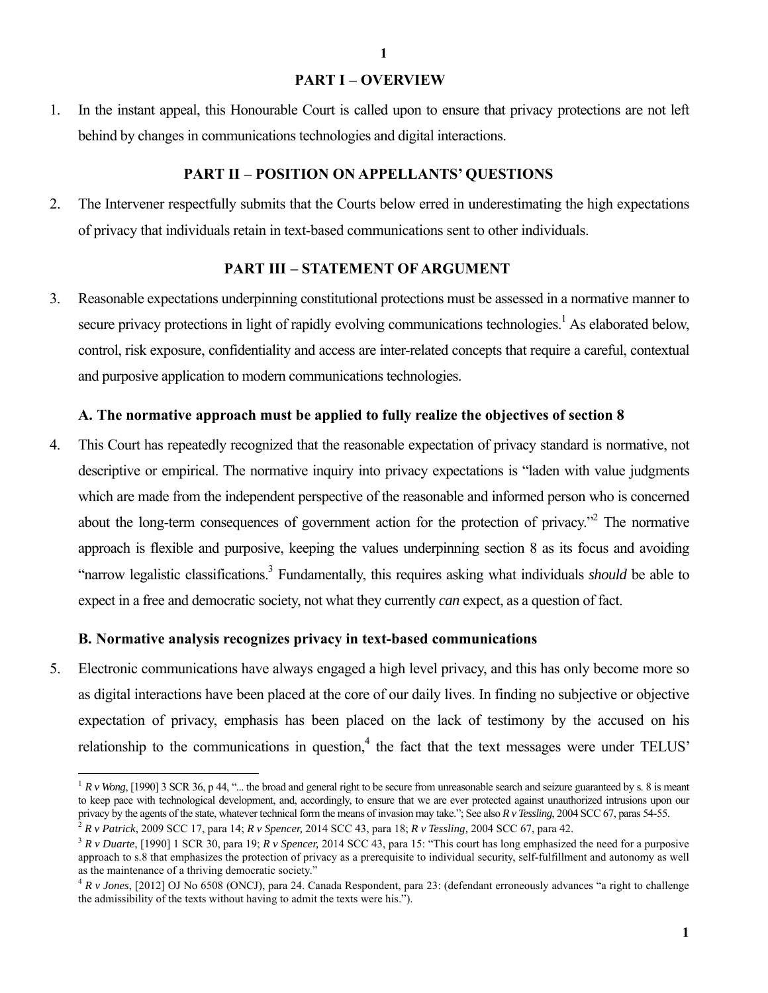### **PART I – OVERVIEW**

1. In the instant appeal, this Honourable Court is called upon to ensure that privacy protections are not left behind by changes in communications technologies and digital interactions.

### **PART II – POSITION ON APPELLANTS' QUESTIONS**

2. The Intervener respectfully submits that the Courts below erred in underestimating the high expectations of privacy that individuals retain in text-based communications sent to other individuals.

# **PART III – STATEMENT OF ARGUMENT**

3. Reasonable expectations underpinning constitutional protections must be assessed in a normative manner to secure privacy protections in light of rapidly evolving communications technologies.<sup>1</sup> As elaborated below, control, risk exposure, confidentiality and access are inter-related concepts that require a careful, contextual and purposive application to modern communications technologies.

#### **A. The normative approach must be applied to fully realize the objectives of section 8**

4. This Court has repeatedly recognized that the reasonable expectation of privacy standard is normative, not descriptive or empirical. The normative inquiry into privacy expectations is "laden with value judgments which are made from the independent perspective of the reasonable and informed person who is concerned about the long-term consequences of government action for the protection of privacy. $\cdot$ <sup>2</sup> The normative approach is flexible and purposive, keeping the values underpinning section 8 as its focus and avoiding "narrow legalistic classifications.3 Fundamentally, this requires asking what individuals *should* be able to expect in a free and democratic society, not what they currently *can* expect, as a question of fact.

#### **B. Normative analysis recognizes privacy in text-based communications**

 $\overline{a}$ 

5. Electronic communications have always engaged a high level privacy, and this has only become more so as digital interactions have been placed at the core of our daily lives. In finding no subjective or objective expectation of privacy, emphasis has been placed on the lack of testimony by the accused on his relationship to the communications in question,  $4$  the fact that the text messages were under TELUS'

 $1 R v$  *Wong*, [1990] 3 SCR 36, p 44, "... the broad and general right to be secure from unreasonable search and seizure guaranteed by s. 8 is meant to keep pace with technological development, and, accordingly, to ensure that we are ever protected against unauthorized intrusions upon our privacy by the agents of the state, whatever technical form the means of invasio

<sup>&</sup>lt;sup>2</sup> R v Patrick, 2009 SCC 17, para 14; R v Spencer, 2014 SCC 43, para 18; R v Tessling, 2004 SCC 67, para 42.<br><sup>3</sup> R v Duarte, [1990] 1 SCR 30, para 19; R v Spencer, 2014 SCC 43, para 15: "This court has long emphasized th approach to s.8 that emphasizes the protection of privacy as a prerequisite to individual security, self-fulfillment and autonomy as well

<sup>&</sup>lt;sup>4</sup> *R v Jones*, [2012] OJ No 6508 (ONCJ), para 24. Canada Respondent, para 23: (defendant erroneously advances "a right to challenge the admissibility of the texts without having to admit the texts were his.").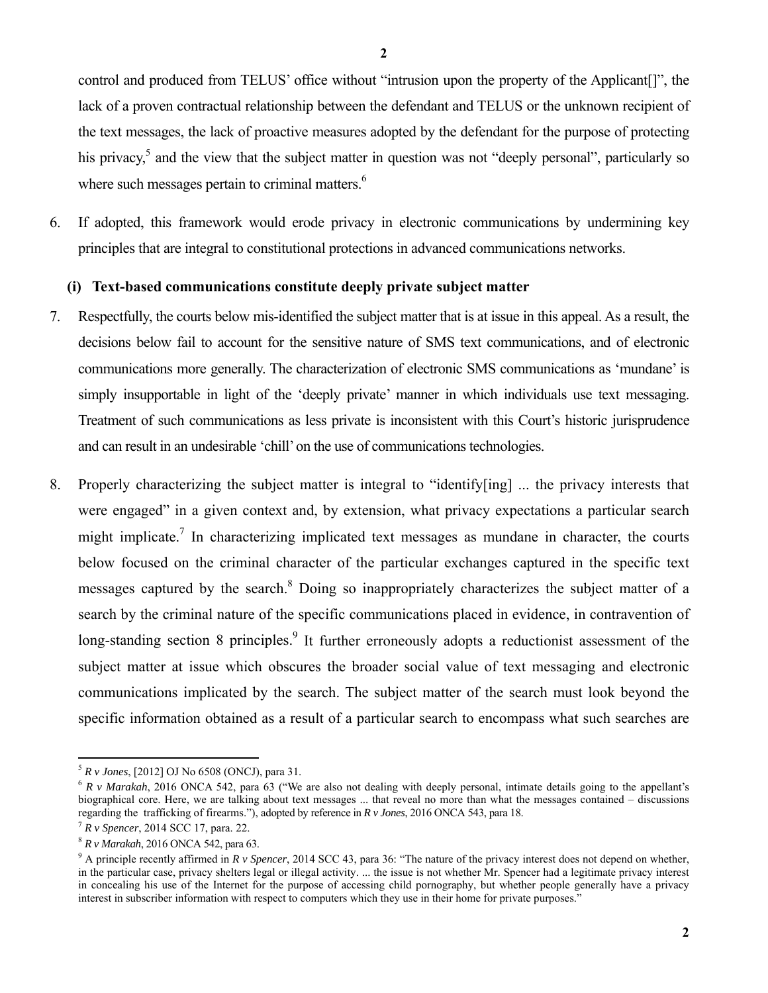control and produced from TELUS' office without "intrusion upon the property of the Applicant[]", the lack of a proven contractual relationship between the defendant and TELUS or the unknown recipient of the text messages, the lack of proactive measures adopted by the defendant for the purpose of protecting his privacy,<sup>5</sup> and the view that the subject matter in question was not "deeply personal", particularly so where such messages pertain to criminal matters. $6$ 

6. If adopted, this framework would erode privacy in electronic communications by undermining key principles that are integral to constitutional protections in advanced communications networks.

### **(i) Text-based communications constitute deeply private subject matter**

- 7. Respectfully, the courts below mis-identified the subject matter that is at issue in this appeal. As a result, the decisions below fail to account for the sensitive nature of SMS text communications, and of electronic communications more generally. The characterization of electronic SMS communications as 'mundane' is simply insupportable in light of the 'deeply private' manner in which individuals use text messaging. Treatment of such communications as less private is inconsistent with this Court's historic jurisprudence and can result in an undesirable 'chill' on the use of communications technologies.
- 8. Properly characterizing the subject matter is integral to "identify[ing] ... the privacy interests that were engaged" in a given context and, by extension, what privacy expectations a particular search might implicate.<sup>7</sup> In characterizing implicated text messages as mundane in character, the courts below focused on the criminal character of the particular exchanges captured in the specific text messages captured by the search.<sup>8</sup> Doing so inappropriately characterizes the subject matter of a search by the criminal nature of the specific communications placed in evidence, in contravention of long-standing section 8 principles.<sup>9</sup> It further erroneously adopts a reductionist assessment of the subject matter at issue which obscures the broader social value of text messaging and electronic communications implicated by the search. The subject matter of the search must look beyond the specific information obtained as a result of a particular search to encompass what such searches are

 $5 R v$  Jones, [2012] OJ No 6508 (ONCJ), para 31.

<sup>&</sup>lt;sup>6</sup> R v Marakah, 2016 ONCA 542, para 63 ("We are also not dealing with deeply personal, intimate details going to the appellant's biographical core. Here, we are talking about text messages ... that reveal no more than what the messages contained – discussions regarding the trafficking of firearms."), adopted by reference in *R v Jones*, 2016 ONCA 543, para 18.<br><sup>7</sup> *R v Spencer*, 2014 SCC 17, para. 22. <sup>8</sup> *R v Marakah*, 2016 ONCA 542, para 63.

<sup>&</sup>lt;sup>9</sup> A principle recently affirmed in *R v Spencer*, 2014 SCC 43, para 36: "The nature of the privacy interest does not depend on whether, in the particular case, privacy shelters legal or illegal activity. ... the issue is not whether Mr. Spencer had a legitimate privacy interest in concealing his use of the Internet for the purpose of accessing child pornography, but whether people generally have a privacy interest in subscriber information with respect to computers which they use in their home for private purposes."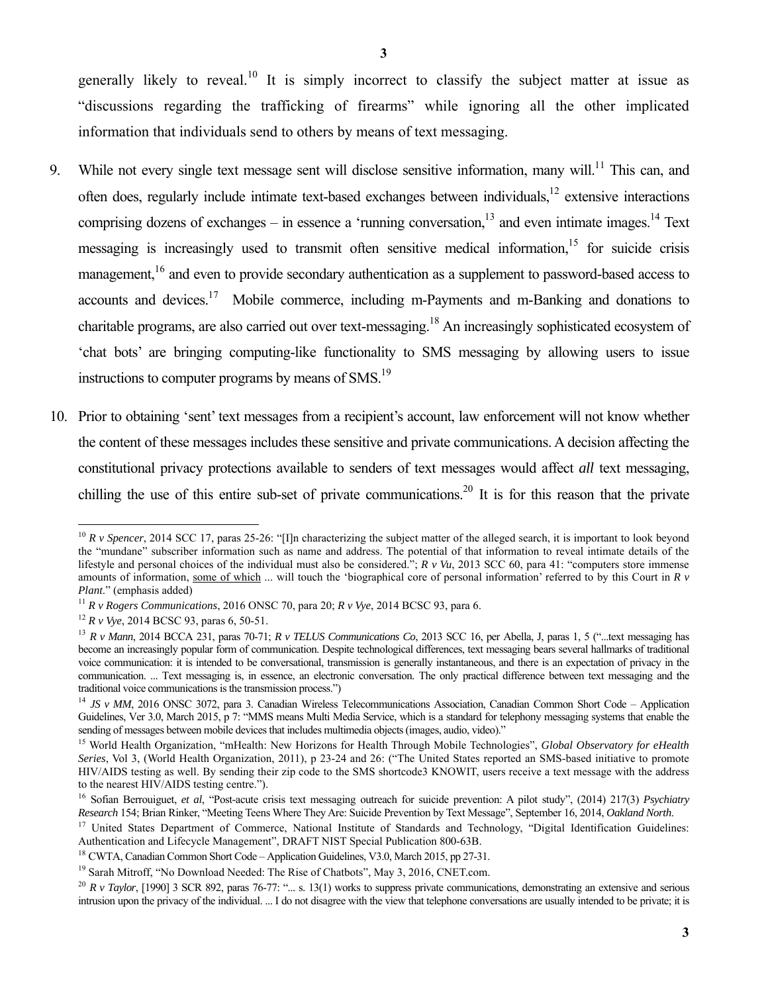generally likely to reveal.<sup>10</sup> It is simply incorrect to classify the subject matter at issue as "discussions regarding the trafficking of firearms" while ignoring all the other implicated information that individuals send to others by means of text messaging.

- 9. While not every single text message sent will disclose sensitive information, many will.<sup>11</sup> This can, and often does, regularly include intimate text-based exchanges between individuals,12 extensive interactions comprising dozens of exchanges – in essence a 'running conversation, $^{13}$  and even intimate images.<sup>14</sup> Text messaging is increasingly used to transmit often sensitive medical information,<sup>15</sup> for suicide crisis management,<sup>16</sup> and even to provide secondary authentication as a supplement to password-based access to accounts and devices.<sup>17</sup> Mobile commerce, including m-Payments and m-Banking and donations to charitable programs, are also carried out over text-messaging.18 An increasingly sophisticated ecosystem of 'chat bots' are bringing computing-like functionality to SMS messaging by allowing users to issue instructions to computer programs by means of  $\text{SMS}$ <sup>19</sup>
- 10. Prior to obtaining 'sent' text messages from a recipient's account, law enforcement will not know whether the content of these messages includes these sensitive and private communications. A decision affecting the constitutional privacy protections available to senders of text messages would affect *all* text messaging, chilling the use of this entire sub-set of private communications.<sup>20</sup> It is for this reason that the private

<sup>&</sup>lt;sup>10</sup> *R v Spencer*, 2014 SCC 17, paras 25-26: "[I]n characterizing the subject matter of the alleged search, it is important to look beyond the "mundane" subscriber information such as name and address. The potential of that information to reveal intimate details of the lifestyle and personal choices of the individual must also be considered."; *R v Vu*, 2013 SCC 60, para 41: "computers store immense amounts of information, some of which ... will touch the 'biographical core of personal information' referred to by this Court in *R v*  Plant." (emphasis added)<br><sup>11</sup> R v Rogers Communications, 2016 ONSC 70, para 20; R v Vye, 2014 BCSC 93, para 6.<br><sup>12</sup> R v Vye, 2014 BCSC 93, paras 6, 50-51.<br><sup>13</sup> R v Mann, 2014 BCCA 231, paras 70-71; R v TELUS Communication

become an increasingly popular form of communication. Despite technological differences, text messaging bears several hallmarks of traditional voice communication: it is intended to be conversational, transmission is generally instantaneous, and there is an expectation of privacy in the communication. ... Text messaging is, in essence, an electronic conversation. The only practical difference between text messaging and the

traditional voice communications is the transmission process.")<br><sup>14</sup> *JS v MM*, 2016 ONSC 3072, para 3. Canadian Wireless Telecommunications Association, Canadian Common Short Code – Application Guidelines, Ver 3.0, March 2015, p 7: "MMS means Multi Media Service, which is a standard for telephony messaging systems that enable the sending of messages between mobile devices that includes multimedia objects (images, audio, video)."<br><sup>15</sup> World Health Organization, "mHealth: New Horizons for Health Through Mobile Technologies", *Global Observatory for e* 

*Series*, Vol 3, (World Health Organization, 2011), p 23-24 and 26: ("The United States reported an SMS-based initiative to promote HIV/AIDS testing as well. By sending their zip code to the SMS shortcode3 KNOWIT, users receive a text message with the address to the nearest HIV/AIDS testing centre.").

<sup>&</sup>lt;sup>16</sup> Sofian Berrouiguet, *et al*, "Post-acute crisis text messaging outreach for suicide prevention: A pilot study", (2014) 217(3) *Psychiatry Research* 154; Brian Rinker, "Meeting Teens Where They Are: Suicide Prevention

<sup>&</sup>lt;sup>17</sup> United States Department of Commerce, National Institute of Standards and Technology, "Digital Identification Guidelines: Authentication and Lifecycle Management", DRAFT NIST Special Publication 800-63B.

<sup>&</sup>lt;sup>18</sup> CWTA, Canadian Common Short Code – Application Guidelines, V3.0, March 2015, pp 27-31.<br><sup>19</sup> Sarah Mitroff, "No Download Needed: The Rise of Chatbots", May 3, 2016, CNET.com.<br><sup>20</sup> R v Tavlor. [1990] 3 SCR 892, paras 7 intrusion upon the privacy of the individual. ... I do not disagree with the view that telephone conversations are usually intended to be private; it is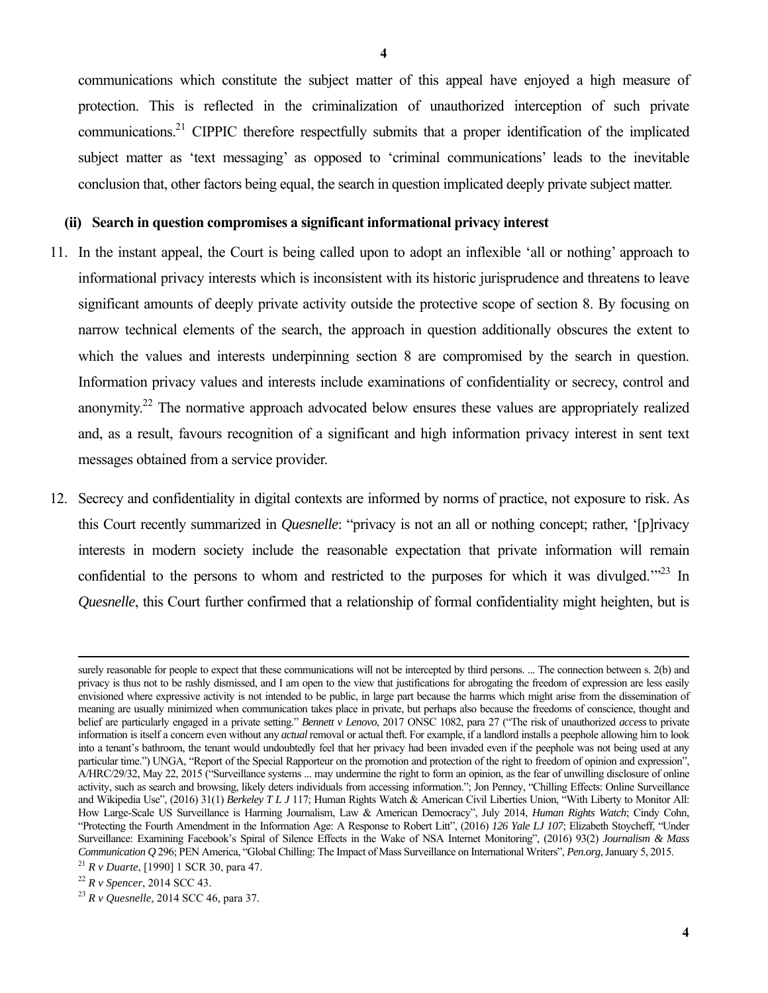communications which constitute the subject matter of this appeal have enjoyed a high measure of protection. This is reflected in the criminalization of unauthorized interception of such private communications.<sup>21</sup> CIPPIC therefore respectfully submits that a proper identification of the implicated subject matter as 'text messaging' as opposed to 'criminal communications' leads to the inevitable conclusion that, other factors being equal, the search in question implicated deeply private subject matter.

#### **(ii) Search in question compromises a significant informational privacy interest**

- 11. In the instant appeal, the Court is being called upon to adopt an inflexible 'all or nothing' approach to informational privacy interests which is inconsistent with its historic jurisprudence and threatens to leave significant amounts of deeply private activity outside the protective scope of section 8. By focusing on narrow technical elements of the search, the approach in question additionally obscures the extent to which the values and interests underpinning section 8 are compromised by the search in question. Information privacy values and interests include examinations of confidentiality or secrecy, control and anonymity.22 The normative approach advocated below ensures these values are appropriately realized and, as a result, favours recognition of a significant and high information privacy interest in sent text messages obtained from a service provider.
- 12. Secrecy and confidentiality in digital contexts are informed by norms of practice, not exposure to risk. As this Court recently summarized in *Quesnelle*: "privacy is not an all or nothing concept; rather, '[p]rivacy interests in modern society include the reasonable expectation that private information will remain confidential to the persons to whom and restricted to the purposes for which it was divulged. $1^{32}$  In *Quesnelle*, this Court further confirmed that a relationship of formal confidentiality might heighten, but is

surely reasonable for people to expect that these communications will not be intercepted by third persons. ... The connection between s. 2(b) and privacy is thus not to be rashly dismissed, and I am open to the view that justifications for abrogating the freedom of expression are less easily envisioned where expressive activity is not intended to be public, in large part because the harms which might arise from the dissemination of meaning are usually minimized when communication takes place in private, but perhaps also because the freedoms of conscience, thought and belief are particularly engaged in a private setting." *Bennett v Lenovo*, 2017 ONSC 1082, para 27 ("The risk of unauthorized *access* to private information is itself a concern even without any *actual* removal or actual theft. For example, if a landlord installs a peephole allowing him to look into a tenant's bathroom, the tenant would undoubtedly feel that her privacy had been invaded even if the peephole was not being used at any particular time.") UNGA, "Report of the Special Rapporteur on the promotion and protection of the right to freedom of opinion and expression", A/HRC/29/32, May 22, 2015 ("Surveillance systems ... may undermine the right to form an opinion, as the fear of unwilling disclosure of online activity, such as search and browsing, likely deters individuals from accessing information."; Jon Penney, "Chilling Effects: Online Surveillance and Wikipedia Use", (2016) 31(1) *Berkeley T L J* 117; Human Rights Watch & American Civil Liberties Union, "With Liberty to Monitor All: How Large-Scale US Surveillance is Harming Journalism, Law & American Democracy", July 2014, *Human Rights Watch*; Cindy Cohn, "Protecting the Fourth Amendment in the Information Age: A Response to Robert Litt", (2016) *126 Yale LJ 107*; Elizabeth Stoycheff, "Under Surveillance: Examining Facebook's Spiral of Silence Effects in the Wake of NSA Internet Monitoring", (2016) 93(2) *Journalism & Mass Communication Q* 296; PEN America, "Global Chilling: The Impact of Mass Surveillance on International Writers", *Pen.org*, January 5, 2015.<br><sup>21</sup> *R* v *Duarte*, [1990] 1 SCR 30, para 47.<br><sup>22</sup> *R* v *Spencer*, 2014 SCC 43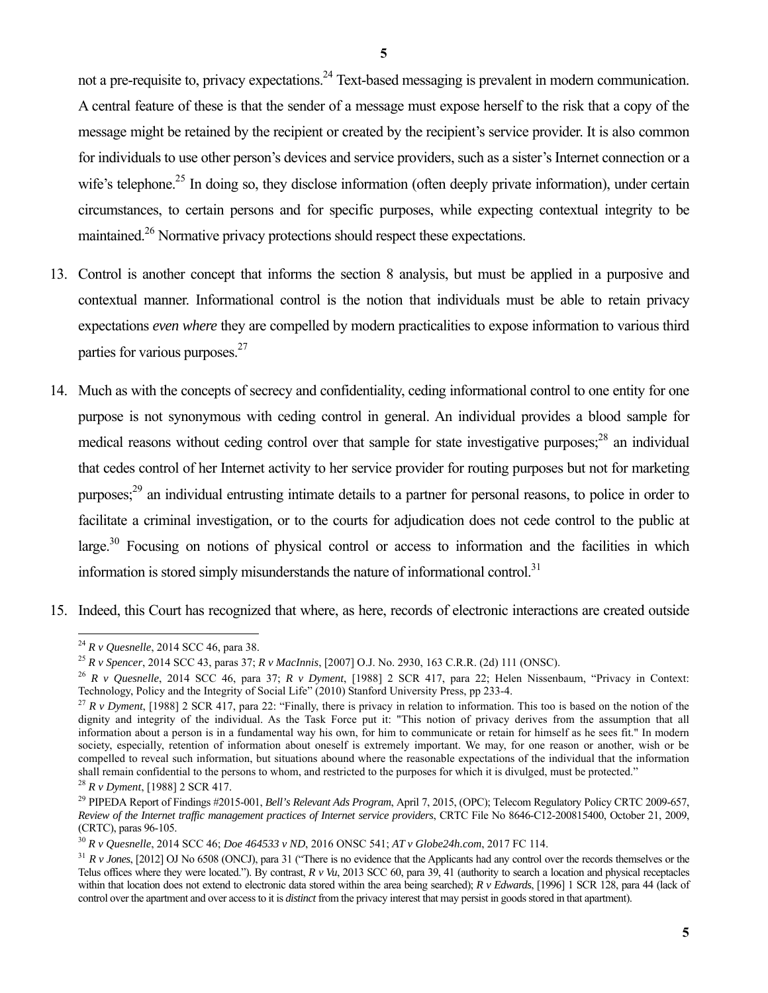not a pre-requisite to, privacy expectations.<sup>24</sup> Text-based messaging is prevalent in modern communication. A central feature of these is that the sender of a message must expose herself to the risk that a copy of the message might be retained by the recipient or created by the recipient's service provider. It is also common for individuals to use other person's devices and service providers, such as a sister's Internet connection or a wife's telephone.<sup>25</sup> In doing so, they disclose information (often deeply private information), under certain circumstances, to certain persons and for specific purposes, while expecting contextual integrity to be maintained.<sup>26</sup> Normative privacy protections should respect these expectations.

- 13. Control is another concept that informs the section 8 analysis, but must be applied in a purposive and contextual manner. Informational control is the notion that individuals must be able to retain privacy expectations *even where* they are compelled by modern practicalities to expose information to various third parties for various purposes.<sup>27</sup>
- 14. Much as with the concepts of secrecy and confidentiality, ceding informational control to one entity for one purpose is not synonymous with ceding control in general. An individual provides a blood sample for medical reasons without ceding control over that sample for state investigative purposes;<sup>28</sup> an individual that cedes control of her Internet activity to her service provider for routing purposes but not for marketing purposes;<sup>29</sup> an individual entrusting intimate details to a partner for personal reasons, to police in order to facilitate a criminal investigation, or to the courts for adjudication does not cede control to the public at large.<sup>30</sup> Focusing on notions of physical control or access to information and the facilities in which information is stored simply misunderstands the nature of informational control.<sup>31</sup>
- 15. Indeed, this Court has recognized that where, as here, records of electronic interactions are created outside

<sup>&</sup>lt;sup>24</sup> R v *Quesnelle*, 2014 SCC 46, para 38.

<sup>&</sup>lt;sup>25</sup> R v Spencer, 2014 SCC 43, paras 37; R v MacInnis, [2007] O.J. No. 2930, 163 C.R.R. (2d) 111 (ONSC).<br><sup>26</sup> R v *Quesnelle*, 2014 SCC 46, para 37; R v *Dyment*, [1988] 2 SCR 417, para 22; Helen Nissenbaum, "Privacy in C

<sup>&</sup>lt;sup>27</sup> R v Dyment, [1988] 2 SCR 417, para 22: "Finally, there is privacy in relation to information. This too is based on the notion of the dignity and integrity of the individual. As the Task Force put it: "This notion of privacy derives from the assumption that all information about a person is in a fundamental way his own, for him to communicate or retain for himself as he sees fit." In modern society, especially, retention of information about oneself is extremely important. We may, for one reason or another, wish or be compelled to reveal such information, but situations abound where the reasonable expectations of the individual that the information shall remain confidential to the persons to whom, and restricted to the purposes for which it is divulged, must be protected."

<sup>&</sup>lt;sup>28</sup> *R v Dyment*, [1988] 2 SCR 417.<br><sup>29</sup> PIPEDA Report of Findings #2015-001, *Bell's Relevant Ads Program*, April 7, 2015, (OPC); Telecom Regulatory Policy CRTC 2009-657, *Review of the Internet traffic management practices of Internet service providers*, CRTC File No 8646-C12-200815400, October 21, 2009, (CRTC), paras 96-105.

<sup>&</sup>lt;sup>30</sup> R v Quesnelle, 2014 SCC 46; Doe 464533 v ND, 2016 ONSC 541; AT v Globe24h.com, 2017 FC 114.<br><sup>31</sup> R v Jones, [2012] OJ No 6508 (ONCJ), para 31 ("There is no evidence that the Applicants had any control over the record Telus offices where they were located."). By contrast, *R v Vu*, 2013 SCC 60, para 39, 41 (authority to search a location and physical receptacles within that location does not extend to electronic data stored within the area being searched); *R v Edwards*, [1996] 1 SCR 128, para 44 (lack of control over the apartment and over access to it is *distinct* from the privacy interest that may persist in goods stored in that apartment).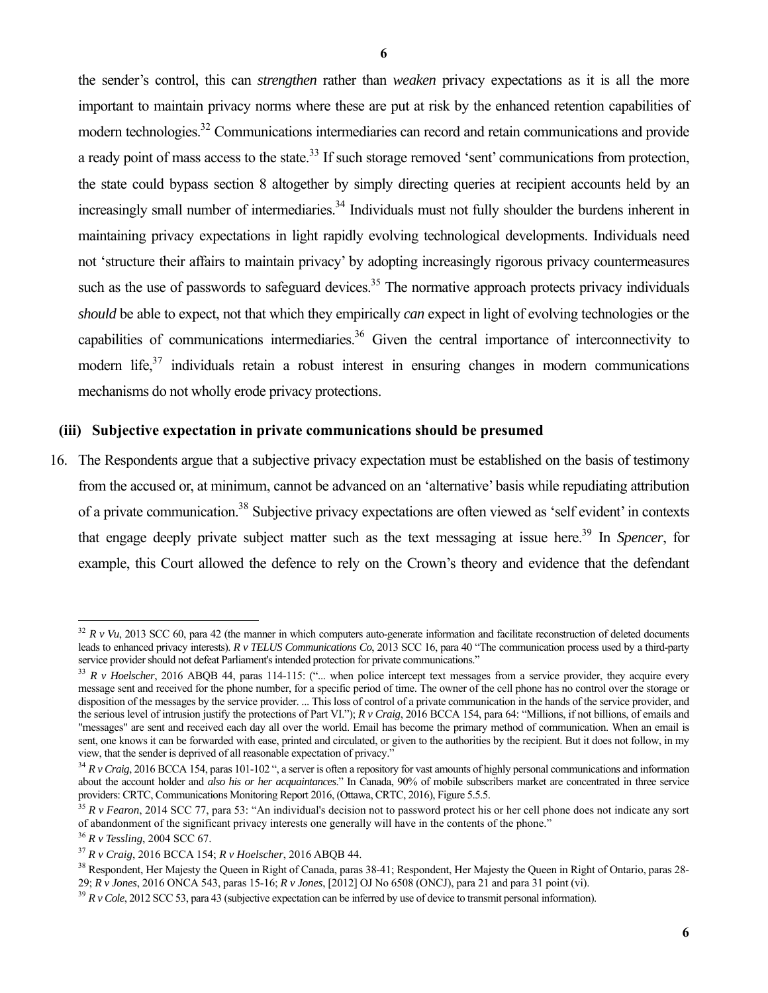the sender's control, this can *strengthen* rather than *weaken* privacy expectations as it is all the more important to maintain privacy norms where these are put at risk by the enhanced retention capabilities of modern technologies.<sup>32</sup> Communications intermediaries can record and retain communications and provide a ready point of mass access to the state.<sup>33</sup> If such storage removed 'sent' communications from protection, the state could bypass section 8 altogether by simply directing queries at recipient accounts held by an increasingly small number of intermediaries.<sup>34</sup> Individuals must not fully shoulder the burdens inherent in maintaining privacy expectations in light rapidly evolving technological developments. Individuals need not 'structure their affairs to maintain privacy' by adopting increasingly rigorous privacy countermeasures such as the use of passwords to safeguard devices.<sup>35</sup> The normative approach protects privacy individuals *should* be able to expect, not that which they empirically *can* expect in light of evolving technologies or the capabilities of communications intermediaries.<sup>36</sup> Given the central importance of interconnectivity to modern life, $37$  individuals retain a robust interest in ensuring changes in modern communications mechanisms do not wholly erode privacy protections.

### **(iii) Subjective expectation in private communications should be presumed**

16. The Respondents argue that a subjective privacy expectation must be established on the basis of testimony from the accused or, at minimum, cannot be advanced on an 'alternative' basis while repudiating attribution of a private communication.<sup>38</sup> Subjective privacy expectations are often viewed as 'self evident' in contexts that engage deeply private subject matter such as the text messaging at issue here.<sup>39</sup> In *Spencer*, for example, this Court allowed the defence to rely on the Crown's theory and evidence that the defendant

 $32 R$  *v Vu*, 2013 SCC 60, para 42 (the manner in which computers auto-generate information and facilitate reconstruction of deleted documents leads to enhanced privacy interests). *R v TELUS Communications Co*, 2013 SCC 16, para 40 "The communication process used by a third-party service provider should not defeat Parliament's intended protection for private communications."<br><sup>33</sup> R v Hoelscher, 2016 ABOB 44, paras 114-115: ("... when police intercept text messages from a service provider, they acq

message sent and received for the phone number, for a specific period of time. The owner of the cell phone has no control over the storage or disposition of the messages by the service provider. ... This loss of control of a private communication in the hands of the service provider, and the serious level of intrusion justify the protections of Part VI."); *R v Craig*, 2016 BCCA 154, para 64: "Millions, if not billions, of emails and "messages" are sent and received each day all over the world. Email has become the primary method of communication. When an email is sent, one knows it can be forwarded with ease, printed and circulated, or given to the authorities by the recipient. But it does not follow, in my view, that the sender is deprived of all reasonable expectation of privacy."<br> $34 R v$  Craig, 2016 BCCA 154, paras 101-102 ", a server is often a repository for vast amounts of highly personal communications and information

about the account holder and *also his or her acquaintances*." In Canada, 90% of mobile subscribers market are concentrated in three service

 $35 R$  v Fearon, 2014 SCC 77, para 53: "An individual's decision not to password protect his or her cell phone does not indicate any sort

of abandonment of the significant privacy interests one generally will have in the contents of the phone."<br><sup>36</sup> R v Tessling, 2004 SCC 67.<br><sup>37</sup> R v Craig, 2016 BCCA 154; R v Hoelscher, 2016 ABQB 44.<br><sup>38</sup> Respondent, Her M

 $39 R$  v Cole, 2012 SCC 53, para 43 (subjective expectation can be inferred by use of device to transmit personal information).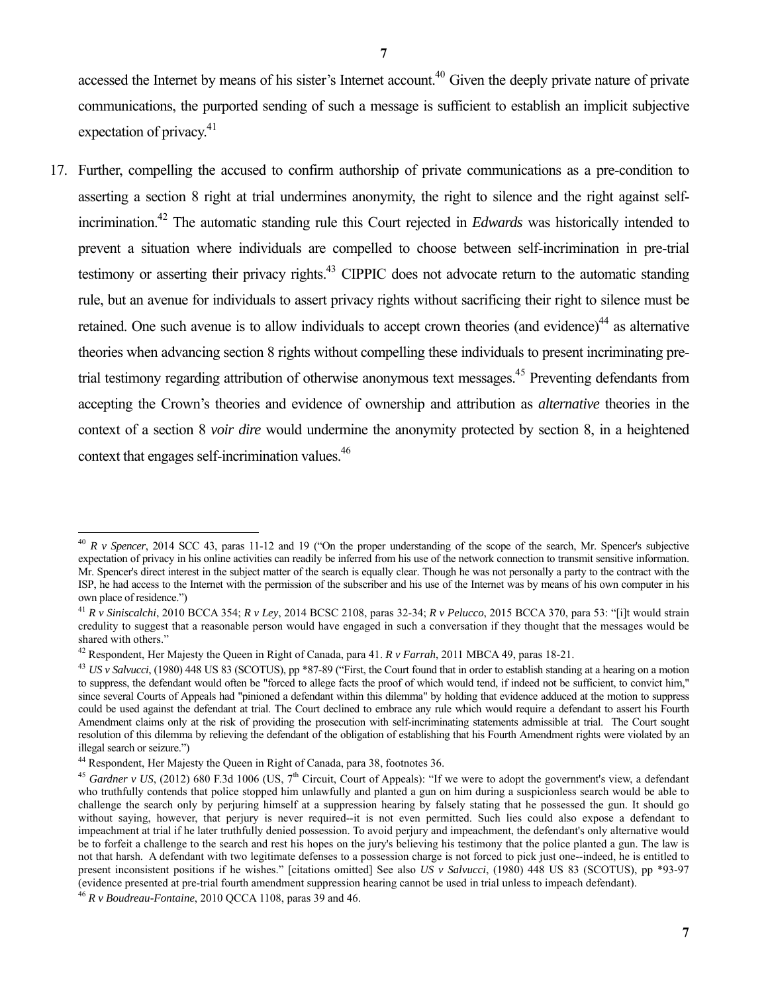accessed the Internet by means of his sister's Internet account.<sup>40</sup> Given the deeply private nature of private communications, the purported sending of such a message is sufficient to establish an implicit subjective expectation of privacy.<sup>41</sup>

17. Further, compelling the accused to confirm authorship of private communications as a pre-condition to asserting a section 8 right at trial undermines anonymity, the right to silence and the right against selfincrimination.42 The automatic standing rule this Court rejected in *Edwards* was historically intended to prevent a situation where individuals are compelled to choose between self-incrimination in pre-trial testimony or asserting their privacy rights.<sup>43</sup> CIPPIC does not advocate return to the automatic standing rule, but an avenue for individuals to assert privacy rights without sacrificing their right to silence must be retained. One such avenue is to allow individuals to accept crown theories (and evidence)<sup>44</sup> as alternative theories when advancing section 8 rights without compelling these individuals to present incriminating pretrial testimony regarding attribution of otherwise anonymous text messages.<sup>45</sup> Preventing defendants from accepting the Crown's theories and evidence of ownership and attribution as *alternative* theories in the context of a section 8 *voir dire* would undermine the anonymity protected by section 8, in a heightened context that engages self-incrimination values.<sup>46</sup>

<sup>40</sup> *R v Spencer*, 2014 SCC 43, paras 11-12 and 19 ("On the proper understanding of the scope of the search, Mr. Spencer's subjective expectation of privacy in his online activities can readily be inferred from his use of the network connection to transmit sensitive information. Mr. Spencer's direct interest in the subject matter of the search is equally clear. Though he was not personally a party to the contract with the ISP, he had access to the Internet with the permission of the subscriber and his use of the Internet was by means of his own computer in his own place of residence.")

<sup>41</sup> *R v Siniscalchi*, 2010 BCCA 354; *R v Ley*, 2014 BCSC 2108, paras 32-34; *R v Pelucco*, 2015 BCCA 370, para 53: "[i]t would strain credulity to suggest that a reasonable person would have engaged in such a conversation if they thought that the messages would be shared with others."

<sup>&</sup>lt;sup>42</sup> Respondent, Her Majesty the Queen in Right of Canada, para 41.  $R v$  Farrah, 2011 MBCA 49, paras 18-21.<br><sup>43</sup> *US v Salvucci*, (1980) 448 US 83 (SCOTUS), pp \*87-89 ("First, the Court found that in order to establish st to suppress, the defendant would often be "forced to allege facts the proof of which would tend, if indeed not be sufficient, to convict him," since several Courts of Appeals had "pinioned a defendant within this dilemma" by holding that evidence adduced at the motion to suppress could be used against the defendant at trial. The Court declined to embrace any rule which would require a defendant to assert his Fourth Amendment claims only at the risk of providing the prosecution with self-incriminating statements admissible at trial. The Court sought resolution of this dilemma by relieving the defendant of the obligation of establishing that his Fourth Amendment rights were violated by an illegal search or seizure.")

<sup>&</sup>lt;sup>44</sup> Respondent, Her Majesty the Queen in Right of Canada, para 38, footnotes 36.<br><sup>45</sup> *Gardner v US*, (2012) 680 F.3d 1006 (US, 7<sup>th</sup> Circuit, Court of Appeals): "If we were to adopt the government's view, a defendant who truthfully contends that police stopped him unlawfully and planted a gun on him during a suspicionless search would be able to challenge the search only by perjuring himself at a suppression hearing by falsely stating that he possessed the gun. It should go without saying, however, that perjury is never required--it is not even permitted. Such lies could also expose a defendant to impeachment at trial if he later truthfully denied possession. To avoid perjury and impeachment, the defendant's only alternative would be to forfeit a challenge to the search and rest his hopes on the jury's believing his testimony that the police planted a gun. The law is not that harsh. A defendant with two legitimate defenses to a possession charge is not forced to pick just one--indeed, he is entitled to present inconsistent positions if he wishes." [citations omitted] See also *US v Salvucci*, (1980) 448 US 83 (SCOTUS), pp \*93-97 (evidence presented at pre-trial fourth amendment suppression hearing cannot be used in trial unless to impeach defendant). 46 *R v Boudreau-Fontaine*, 2010 QCCA 1108, paras 39 and 46.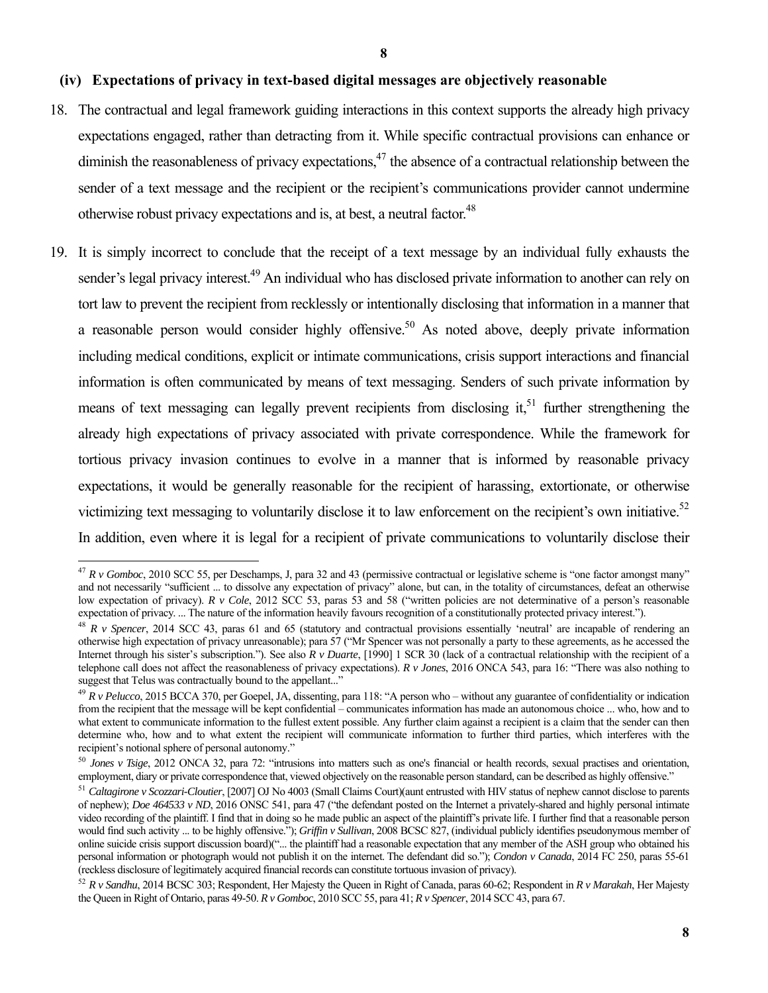#### **(iv) Expectations of privacy in text-based digital messages are objectively reasonable**

- 18. The contractual and legal framework guiding interactions in this context supports the already high privacy expectations engaged, rather than detracting from it. While specific contractual provisions can enhance or diminish the reasonableness of privacy expectations, $47$  the absence of a contractual relationship between the sender of a text message and the recipient or the recipient's communications provider cannot undermine otherwise robust privacy expectations and is, at best, a neutral factor.<sup>48</sup>
- 19. It is simply incorrect to conclude that the receipt of a text message by an individual fully exhausts the sender's legal privacy interest.<sup>49</sup> An individual who has disclosed private information to another can rely on tort law to prevent the recipient from recklessly or intentionally disclosing that information in a manner that a reasonable person would consider highly offensive.<sup>50</sup> As noted above, deeply private information including medical conditions, explicit or intimate communications, crisis support interactions and financial information is often communicated by means of text messaging. Senders of such private information by means of text messaging can legally prevent recipients from disclosing it, $51$  further strengthening the already high expectations of privacy associated with private correspondence. While the framework for tortious privacy invasion continues to evolve in a manner that is informed by reasonable privacy expectations, it would be generally reasonable for the recipient of harassing, extortionate, or otherwise victimizing text messaging to voluntarily disclose it to law enforcement on the recipient's own initiative.<sup>52</sup> In addition, even where it is legal for a recipient of private communications to voluntarily disclose their

<sup>47</sup> *R v Gomboc*, 2010 SCC 55, per Deschamps, J, para 32 and 43 (permissive contractual or legislative scheme is "one factor amongst many" and not necessarily "sufficient ... to dissolve any expectation of privacy" alone, but can, in the totality of circumstances, defeat an otherwise low expectation of privacy). *R v Cole*, 2012 SCC 53, paras 53 and 58 ("written policies are not determinative of a person's reasonable expectation of privacy.... The nature of the information heavily favours recognition o

 $48$  R v Spencer, 2014 SCC 43, paras 61 and 65 (statutory and contractual provisions essentially 'neutral' are incapable of rendering an otherwise high expectation of privacy unreasonable); para 57 ("Mr Spencer was not personally a party to these agreements, as he accessed the Internet through his sister's subscription."). See also *R v Duarte*, [1990] 1 SCR 30 (lack of a contractual relationship with the recipient of a telephone call does not affect the reasonableness of privacy expectations). *R v Jones*, 2016 ONCA 543, para 16: "There was also nothing to suggest that Telus was contractually bound to the appellant..."

<sup>49</sup> *R v Pelucco*, 2015 BCCA 370, per Goepel, JA, dissenting, para 118: "A person who – without any guarantee of confidentiality or indication from the recipient that the message will be kept confidential – communicates information has made an autonomous choice ... who, how and to what extent to communicate information to the fullest extent possible. Any further claim against a recipient is a claim that the sender can then determine who, how and to what extent the recipient will communicate information to further third parties, which interferes with the recipient's notional sphere of personal autonomy."

<sup>50</sup> *Jones v Tsige*, 2012 ONCA 32, para 72: "intrusions into matters such as one's financial or health records, sexual practises and orientation, employment, diary or private correspondence that, viewed objectively on the reasonable person standard, can be described as highly offensive."<br><sup>51</sup> Caltagirone v Scozzari-Cloutier, [2007] OJ No 4003 (Small Claims Court)(au

of nephew); *Doe 464533 v ND*, 2016 ONSC 541, para 47 ("the defendant posted on the Internet a privately-shared and highly personal intimate video recording of the plaintiff. I find that in doing so he made public an aspect of the plaintiff's private life. I further find that a reasonable person would find such activity ... to be highly offensive."); *Griffin v Sullivan*, 2008 BCSC 827, (individual publicly identifies pseudonymous member of online suicide crisis support discussion board)("... the plaintiff had a reasonable expectation that any member of the ASH group who obtained his personal information or photograph would not publish it on the internet. The defendant did so."); *Condon v Canada*, 2014 FC 250, paras 55-61 (reckless disclosure of legitimately acquired financial records can constitute tortuous invasion of privacy).<br><sup>52</sup> R v Sandhu. 2014 BCSC 303; Respondent, Her Majesty the Queen in Right of Canada, paras 60-62; Respondent i

the Queen in Right of Ontario, paras 49-50. *R v Gomboc*, 2010 SCC 55, para 41; *R v Spencer*, 2014 SCC 43, para 67.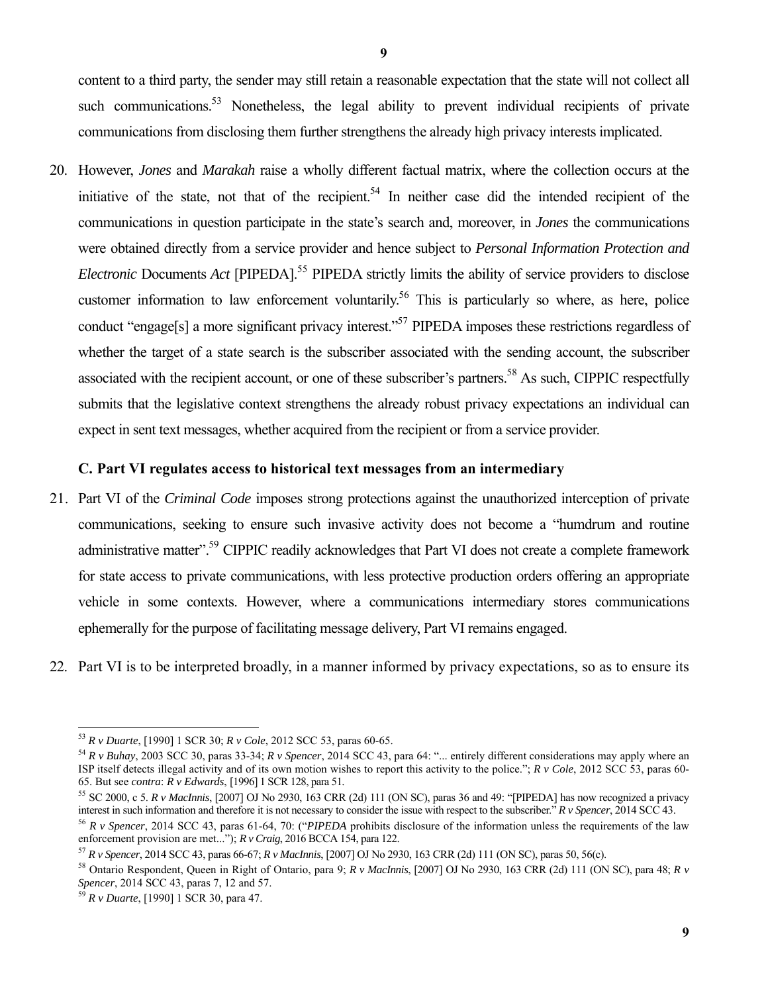content to a third party, the sender may still retain a reasonable expectation that the state will not collect all such communications.<sup>53</sup> Nonetheless, the legal ability to prevent individual recipients of private communications from disclosing them further strengthens the already high privacy interests implicated.

20. However, *Jones* and *Marakah* raise a wholly different factual matrix, where the collection occurs at the initiative of the state, not that of the recipient.<sup>54</sup> In neither case did the intended recipient of the communications in question participate in the state's search and, moreover, in *Jones* the communications were obtained directly from a service provider and hence subject to *Personal Information Protection and Electronic Documents Act* [PIPEDA].<sup>55</sup> PIPEDA strictly limits the ability of service providers to disclose customer information to law enforcement voluntarily.<sup>56</sup> This is particularly so where, as here, police conduct "engage[s] a more significant privacy interest."<sup>57</sup> PIPEDA imposes these restrictions regardless of whether the target of a state search is the subscriber associated with the sending account, the subscriber associated with the recipient account, or one of these subscriber's partners.<sup>58</sup> As such, CIPPIC respectfully submits that the legislative context strengthens the already robust privacy expectations an individual can expect in sent text messages, whether acquired from the recipient or from a service provider.

# **C. Part VI regulates access to historical text messages from an intermediary**

- 21. Part VI of the *Criminal Code* imposes strong protections against the unauthorized interception of private communications, seeking to ensure such invasive activity does not become a "humdrum and routine administrative matter".<sup>59</sup> CIPPIC readily acknowledges that Part VI does not create a complete framework for state access to private communications, with less protective production orders offering an appropriate vehicle in some contexts. However, where a communications intermediary stores communications ephemerally for the purpose of facilitating message delivery, Part VI remains engaged.
- 22. Part VI is to be interpreted broadly, in a manner informed by privacy expectations, so as to ensure its

<sup>&</sup>lt;sup>53</sup> R v Duarte, [1990] 1 SCR 30; R v Cole, 2012 SCC 53, paras 60-65.

<sup>&</sup>lt;sup>54</sup> R v Buhay, 2003 SCC 30, paras 33-34; R v Spencer, 2014 SCC 43, para 64: "... entirely different considerations may apply where an ISP itself detects illegal activity and of its own motion wishes to report this activity to the police."; *R v Cole*, 2012 SCC 53, paras 60- 65. But see *contra*: *R v Edwards*, [1996] 1 SCR 128, para 51.<br><sup>55</sup> SC 2000, c 5. *R v MacInnis*, [2007] OJ No 2930, 163 CRR (2d) 111 (ON SC), paras 36 and 49: "[PIPEDA] has now recognized a privacy

interest in such information and therefore it is not necessary to consider the issue with respect to the subscriber."  $R v$  Spencer, 2014 SCC 43.<br><sup>56</sup>  $R v$  Spencer, 2014 SCC 43, paras 61-64, 70: ("PIPEDA prohibits disclosu

enforcement provision are met..."); *R v Craig*, 2016 BCCA 154, para 122.

<sup>57</sup> *R v Spencer*, 2014 SCC 43, paras 66-67; *R v MacInnis*, [2007] OJ No 2930, 163 CRR (2d) 111 (ON SC), paras 50, 56(c).

<sup>58</sup> Ontario Respondent, Queen in Right of Ontario, para 9; *R v MacInnis*, [2007] OJ No 2930, 163 CRR (2d) 111 (ON SC), para 48; *R v* 

<sup>&</sup>lt;sup>59</sup> *R v Duarte*, [1990] 1 SCR 30, para 47.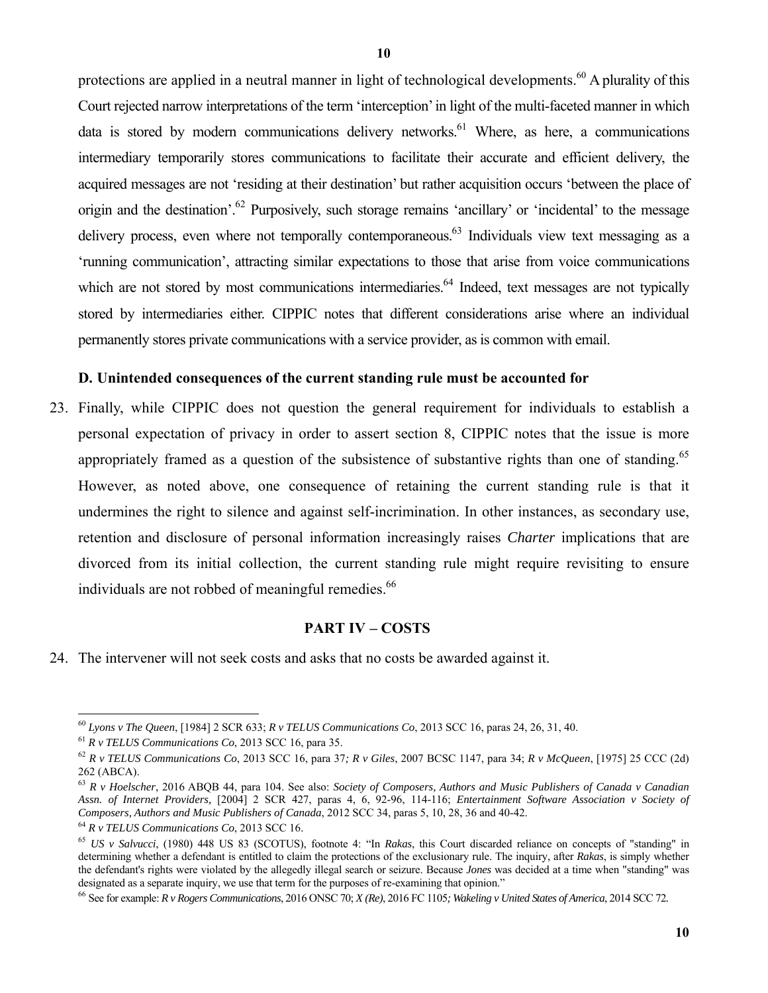protections are applied in a neutral manner in light of technological developments.<sup>60</sup> A plurality of this Court rejected narrow interpretations of the term 'interception' in light of the multi-faceted manner in which data is stored by modern communications delivery networks.<sup>61</sup> Where, as here, a communications intermediary temporarily stores communications to facilitate their accurate and efficient delivery, the acquired messages are not 'residing at their destination' but rather acquisition occurs 'between the place of origin and the destination'.<sup>62</sup> Purposively, such storage remains 'ancillary' or 'incidental' to the message delivery process, even where not temporally contemporaneous.<sup>63</sup> Individuals view text messaging as a 'running communication', attracting similar expectations to those that arise from voice communications which are not stored by most communications intermediaries.<sup>64</sup> Indeed, text messages are not typically stored by intermediaries either. CIPPIC notes that different considerations arise where an individual permanently stores private communications with a service provider, as is common with email.

#### **D. Unintended consequences of the current standing rule must be accounted for**

23. Finally, while CIPPIC does not question the general requirement for individuals to establish a personal expectation of privacy in order to assert section 8, CIPPIC notes that the issue is more appropriately framed as a question of the subsistence of substantive rights than one of standing.<sup>65</sup> However, as noted above, one consequence of retaining the current standing rule is that it undermines the right to silence and against self-incrimination. In other instances, as secondary use, retention and disclosure of personal information increasingly raises *Charter* implications that are divorced from its initial collection, the current standing rule might require revisiting to ensure individuals are not robbed of meaningful remedies.<sup>66</sup>

#### **PART IV – COSTS**

24. The intervener will not seek costs and asks that no costs be awarded against it.

<sup>&</sup>lt;sup>60</sup> Lyons v The Queen, [1984] 2 SCR 633; R v TELUS Communications Co, 2013 SCC 16, paras 24, 26, 31, 40.

<sup>&</sup>lt;sup>61</sup> R v TELUS Communications Co, 2013 SCC 16, para 35.<br><sup>62</sup> R v TELUS Communications Co, 2013 SCC 16, para 37; R v Giles, 2007 BCSC 1147, para 34; R v McQueen, [1975] 25 CCC (2d) 262 (ABCA).

<sup>63</sup> *R v Hoelscher*, 2016 ABQB 44, para 104. See also: *Society of Composers, Authors and Music Publishers of Canada v Canadian Assn. of Internet Providers,* [2004] 2 SCR 427, paras 4, 6, 92-96, 114-116; *Entertainment Software Association v Society of*  Composers, Authors and Music Publishers of Canada, 2012 SCC 34, paras 5, 10, 28, 36 and 40-42.<br><sup>64</sup> R v TELUS Communications Co, 2013 SCC 16.<br><sup>65</sup> US v Salvucci, (1980) 448 US 83 (SCOTUS), footnote 4: "In Rakas, this Court

determining whether a defendant is entitled to claim the protections of the exclusionary rule. The inquiry, after *Rakas*, is simply whether the defendant's rights were violated by the allegedly illegal search or seizure. Because *Jones* was decided at a time when "standing" was designated as a separate inquiry, we use that term for the purposes of re-examining that opinion."<br><sup>66</sup> See for example: *R v Rogers Communications*, 2016 ONSC 70; *X* (*Re*), 2016 FC 1105; *Wakeling v United States of Ame*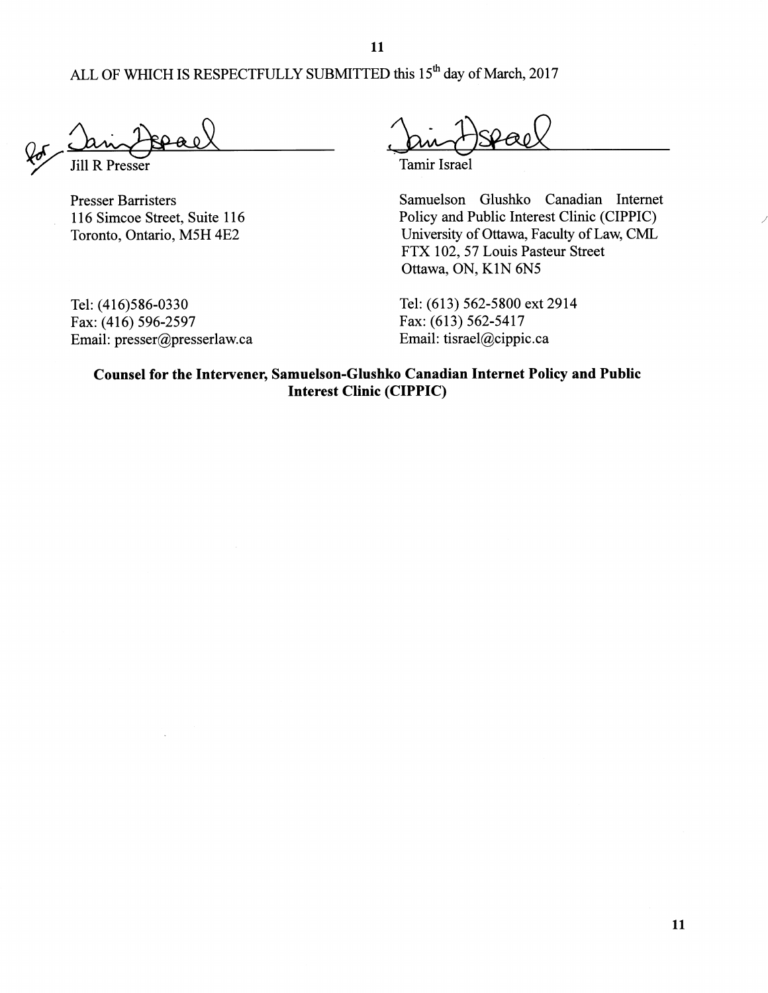11

ALL OF WHICH IS RESPECTFULLY SUBMITTED this 15<sup>th</sup> day of March, 2017

**Jill R Presser** 

**Presser Barristers** 116 Simcoe Street, Suite 116 Toronto, Ontario, M5H 4E2

Tel: (416)586-0330 Fax: (416) 596-2597 Email: presser@presserlaw.ca

Tamir Israel

Samuelson Glushko Canadian Internet Policy and Public Interest Clinic (CIPPIC) University of Ottawa, Faculty of Law, CML FTX 102, 57 Louis Pasteur Street Ottawa, ON, K1N 6N5

Tel: (613) 562-5800 ext 2914 Fax: (613) 562-5417 Email: tisrael@cippic.ca

Counsel for the Intervener, Samuelson-Glushko Canadian Internet Policy and Public **Interest Clinic (CIPPIC)**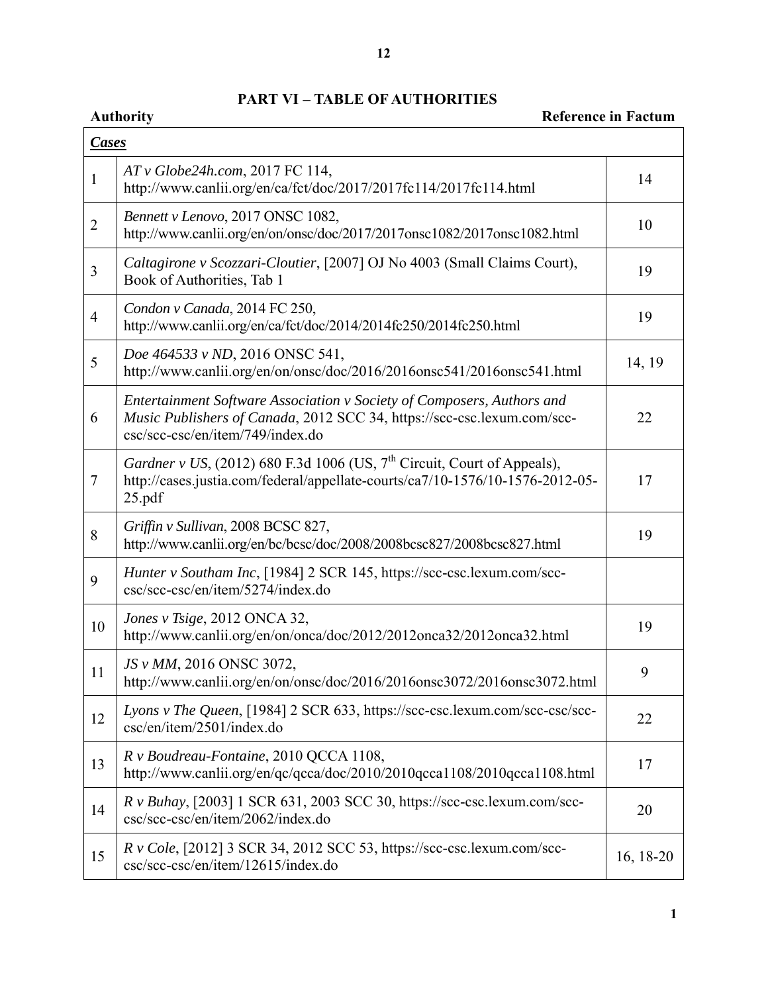# **PART VI – TABLE OF AUTHORITIES**

# **Authority Reference in Factum**

| <b>Cases</b>   |                                                                                                                                                                                       |           |  |  |
|----------------|---------------------------------------------------------------------------------------------------------------------------------------------------------------------------------------|-----------|--|--|
| $\mathbf{1}$   | AT v Globe24h.com, 2017 FC 114,<br>http://www.canlii.org/en/ca/fct/doc/2017/2017fc114/2017fc114.html                                                                                  | 14        |  |  |
| $\overline{2}$ | Bennett v Lenovo, 2017 ONSC 1082,<br>http://www.canlii.org/en/on/onsc/doc/2017/2017onsc1082/2017onsc1082.html                                                                         | 10        |  |  |
| 3              | Caltagirone v Scozzari-Cloutier, [2007] OJ No 4003 (Small Claims Court),<br>Book of Authorities, Tab 1                                                                                | 19        |  |  |
| $\overline{4}$ | Condon v Canada, 2014 FC 250,<br>http://www.canlii.org/en/ca/fct/doc/2014/2014fc250/2014fc250.html                                                                                    | 19        |  |  |
| 5              | Doe 464533 v ND, 2016 ONSC 541,<br>http://www.canlii.org/en/on/onsc/doc/2016/2016onsc541/2016onsc541.html                                                                             | 14, 19    |  |  |
| 6              | Entertainment Software Association v Society of Composers, Authors and<br>Music Publishers of Canada, 2012 SCC 34, https://scc-csc.lexum.com/scc-<br>csc/scc-csc/en/item/749/index.do | 22        |  |  |
| $\tau$         | Gardner v US, (2012) 680 F.3d 1006 (US, $7th$ Circuit, Court of Appeals),<br>http://cases.justia.com/federal/appellate-courts/ca7/10-1576/10-1576-2012-05-<br>25.pdf                  | 17        |  |  |
| 8              | Griffin v Sullivan, 2008 BCSC 827,<br>http://www.canlii.org/en/bc/bcsc/doc/2008/2008bcsc827/2008bcsc827.html                                                                          | 19        |  |  |
| 9              | Hunter v Southam Inc, [1984] 2 SCR 145, https://scc-csc.lexum.com/scc-<br>csc/scc-csc/en/item/5274/index.do                                                                           |           |  |  |
| 10             | Jones v Tsige, 2012 ONCA 32,<br>http://www.canlii.org/en/on/onca/doc/2012/2012onca32/2012onca32.html                                                                                  | 19        |  |  |
| 11             | JS v MM, 2016 ONSC 3072,<br>http://www.canlii.org/en/on/onsc/doc/2016/2016onsc3072/2016onsc3072.html                                                                                  | 9         |  |  |
| 12             | Lyons v The Queen, [1984] 2 SCR 633, https://scc-csc.lexum.com/scc-csc/scc-<br>csc/en/item/2501/index.do                                                                              | 22        |  |  |
| 13             | R v Boudreau-Fontaine, 2010 QCCA 1108,<br>http://www.canlii.org/en/qc/qcca/doc/2010/2010qcca1108/2010qcca1108.html                                                                    | 17        |  |  |
| 14             | $R \text{ v } Buhay$ , [2003] 1 SCR 631, 2003 SCC 30, https://scc-csc.lexum.com/scc-<br>csc/scc-csc/en/item/2062/index.do                                                             | 20        |  |  |
| 15             | R v Cole, [2012] 3 SCR 34, 2012 SCC 53, https://scc-csc.lexum.com/scc-<br>csc/scc-csc/en/item/12615/index.do                                                                          | 16, 18-20 |  |  |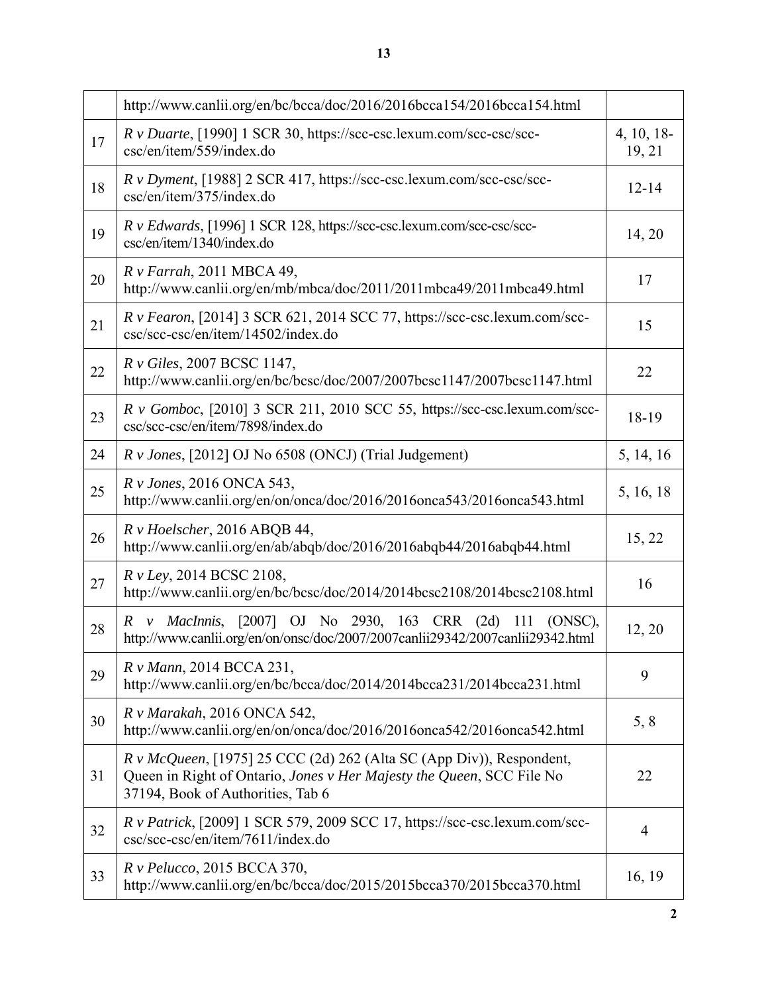|    | http://www.canlii.org/en/bc/bcca/doc/2016/2016bcca154/2016bcca154.html                                                                                                               |                     |
|----|--------------------------------------------------------------------------------------------------------------------------------------------------------------------------------------|---------------------|
| 17 | R v Duarte, [1990] 1 SCR 30, https://scc-csc.lexum.com/scc-csc/scc-<br>csc/en/item/559/index.do                                                                                      | 4, 10, 18<br>19, 21 |
| 18 | $R \, v$ Dyment, [1988] 2 SCR 417, https://scc-csc.lexum.com/scc-csc/scc-<br>csc/en/item/375/index.do                                                                                | $12 - 14$           |
| 19 | R v Edwards, [1996] 1 SCR 128, https://scc-csc.lexum.com/scc-csc/scc-<br>csc/en/item/1340/index.do                                                                                   | 14, 20              |
| 20 | $Rv$ Farrah, 2011 MBCA 49,<br>http://www.canlii.org/en/mb/mbca/doc/2011/2011mbca49/2011mbca49.html                                                                                   | 17                  |
| 21 | R v Fearon, [2014] 3 SCR 621, 2014 SCC 77, https://scc-csc.lexum.com/scc-<br>csc/scc-csc/en/item/14502/index.do                                                                      | 15                  |
| 22 | R v Giles, 2007 BCSC 1147,<br>http://www.canlii.org/en/bc/bcsc/doc/2007/2007bcsc1147/2007bcsc1147.html                                                                               | 22                  |
| 23 | $R \text{ v } Gomboc$ , [2010] 3 SCR 211, 2010 SCC 55, https://scc-csc.lexum.com/scc-<br>csc/scc-csc/en/item/7898/index.do                                                           | 18-19               |
| 24 | $R \nu$ Jones, [2012] OJ No 6508 (ONCJ) (Trial Judgement)                                                                                                                            | 5, 14, 16           |
| 25 | R v Jones, 2016 ONCA 543,<br>http://www.canlii.org/en/on/onca/doc/2016/2016onca543/2016onca543.html                                                                                  | 5, 16, 18           |
| 26 | $R \nu$ Hoelscher, 2016 ABQB 44,<br>http://www.canlii.org/en/ab/abqb/doc/2016/2016abqb44/2016abqb44.html                                                                             | 15, 22              |
| 27 | R v Ley, 2014 BCSC 2108,<br>http://www.canlii.org/en/bc/bcsc/doc/2014/2014bcsc2108/2014bcsc2108.html                                                                                 | 16                  |
| 28 | R v MacInnis, [2007] OJ No 2930, 163 CRR (2d) 111 (ONSC),<br>http://www.canlii.org/en/on/onsc/doc/2007/2007canlii29342/2007canlii29342.html                                          | 12, 20              |
| 29 | R v Mann, 2014 BCCA 231,<br>http://www.canlii.org/en/bc/bcca/doc/2014/2014bcca231/2014bcca231.html                                                                                   | 9                   |
| 30 | R v Marakah, 2016 ONCA 542,<br>http://www.canlii.org/en/on/onca/doc/2016/2016onca542/2016onca542.html                                                                                | 5, 8                |
| 31 | $R v$ McQueen, [1975] 25 CCC (2d) 262 (Alta SC (App Div)), Respondent,<br>Queen in Right of Ontario, Jones v Her Majesty the Queen, SCC File No<br>37194, Book of Authorities, Tab 6 | 22                  |
| 32 | $R \nu$ Patrick, [2009] 1 SCR 579, 2009 SCC 17, https://scc-csc.lexum.com/scc-<br>csc/scc-csc/en/item/7611/index.do                                                                  | $\overline{4}$      |
| 33 | $R$ v Pelucco, 2015 BCCA 370,<br>http://www.canlii.org/en/bc/bcca/doc/2015/2015bcca370/2015bcca370.html                                                                              | 16, 19              |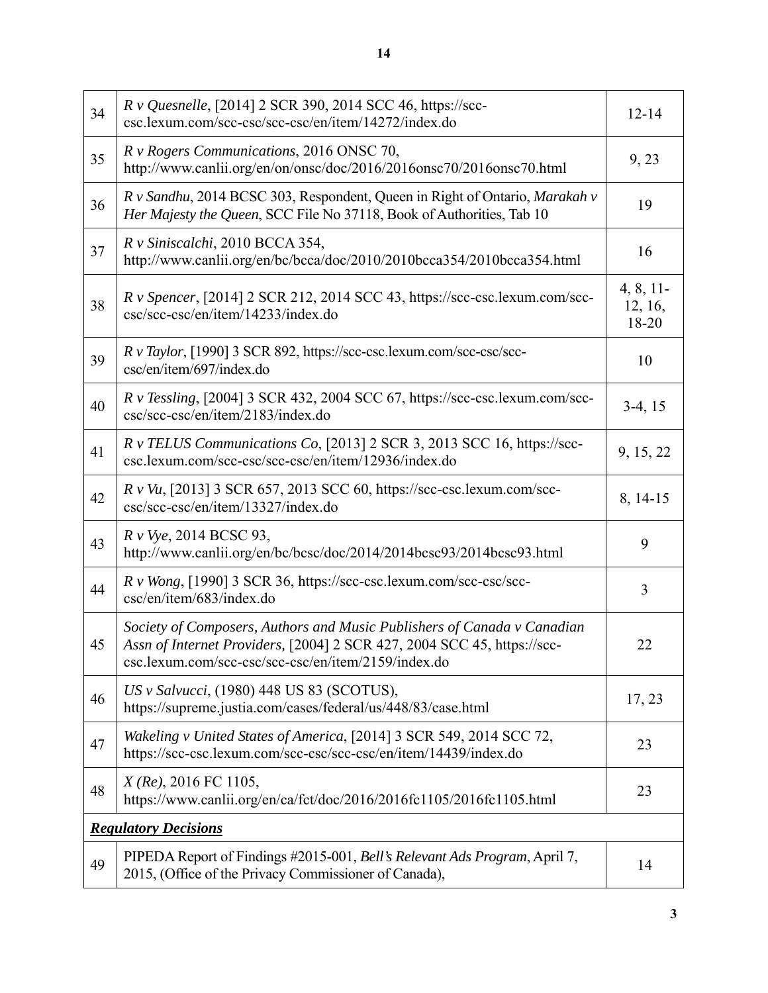| 34                          | R v Quesnelle, [2014] 2 SCR 390, 2014 SCC 46, https://scc-<br>csc.lexum.com/scc-csc/scc-csc/en/item/14272/index.do                                                                                        | $12 - 14$                    |  |
|-----------------------------|-----------------------------------------------------------------------------------------------------------------------------------------------------------------------------------------------------------|------------------------------|--|
| 35                          | R v Rogers Communications, 2016 ONSC 70,<br>http://www.canlii.org/en/on/onsc/doc/2016/2016onsc70/2016onsc70.html                                                                                          | 9,23                         |  |
| 36                          | R v Sandhu, 2014 BCSC 303, Respondent, Queen in Right of Ontario, Marakah v<br>Her Majesty the Queen, SCC File No 37118, Book of Authorities, Tab 10                                                      | 19                           |  |
| 37                          | R v Siniscalchi, 2010 BCCA 354,<br>http://www.canlii.org/en/bc/bcca/doc/2010/2010bcca354/2010bcca354.html                                                                                                 | 16                           |  |
| 38                          | R v Spencer, [2014] 2 SCR 212, 2014 SCC 43, https://scc-csc.lexum.com/scc-<br>csc/scc-csc/en/item/14233/index.do                                                                                          | 4, 8, 11<br>12, 16,<br>18-20 |  |
| 39                          | R v Taylor, [1990] 3 SCR 892, https://scc-csc.lexum.com/scc-csc/scc-<br>csc/en/item/697/index.do                                                                                                          | 10                           |  |
| 40                          | R v Tessling, [2004] 3 SCR 432, 2004 SCC 67, https://scc-csc.lexum.com/scc-<br>csc/scc-csc/en/item/2183/index.do                                                                                          | $3-4, 15$                    |  |
| 41                          | R v TELUS Communications Co, [2013] 2 SCR 3, 2013 SCC 16, https://scc-<br>csc.lexum.com/scc-csc/scc-csc/en/item/12936/index.do                                                                            | 9, 15, 22                    |  |
| 42                          | $R$ v Vu, [2013] 3 SCR 657, 2013 SCC 60, https://scc-csc.lexum.com/scc-<br>csc/scc-csc/en/item/13327/index.do                                                                                             | 8, 14-15                     |  |
| 43                          | R v Vye, 2014 BCSC 93,<br>http://www.canlii.org/en/bc/bcsc/doc/2014/2014bcsc93/2014bcsc93.html                                                                                                            | 9                            |  |
| 44                          | R v Wong, [1990] 3 SCR 36, https://scc-csc.lexum.com/scc-csc/scc-<br>csc/en/item/683/index.do                                                                                                             | 3                            |  |
| 45                          | Society of Composers, Authors and Music Publishers of Canada v Canadian<br>Assn of Internet Providers, [2004] 2 SCR 427, 2004 SCC 45, https://scc-<br>csc.lexum.com/scc-csc/scc-csc/en/item/2159/index.do | 22                           |  |
| 46                          | US v Salvucci, (1980) 448 US 83 (SCOTUS),<br>https://supreme.justia.com/cases/federal/us/448/83/case.html                                                                                                 | 17, 23                       |  |
| 47                          | Wakeling v United States of America, [2014] 3 SCR 549, 2014 SCC 72,<br>https://scc-csc.lexum.com/scc-csc/scc-csc/en/item/14439/index.do                                                                   | 23                           |  |
| 48                          | $X$ (Re), 2016 FC 1105,<br>https://www.canlii.org/en/ca/fct/doc/2016/2016fc1105/2016fc1105.html                                                                                                           | 23                           |  |
| <b>Regulatory Decisions</b> |                                                                                                                                                                                                           |                              |  |
| 49                          | PIPEDA Report of Findings #2015-001, Bell's Relevant Ads Program, April 7,<br>2015, (Office of the Privacy Commissioner of Canada),                                                                       | 14                           |  |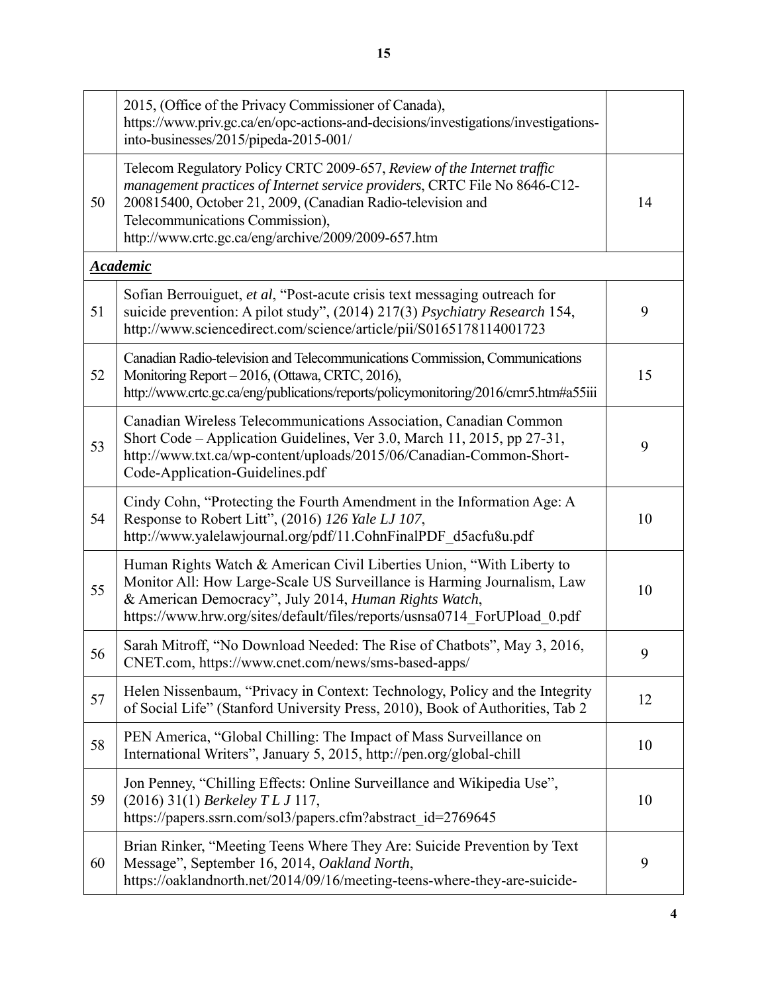|    | 2015, (Office of the Privacy Commissioner of Canada),<br>https://www.priv.gc.ca/en/opc-actions-and-decisions/investigations/investigations-<br>into-businesses/2015/pipeda-2015-001/                                                                                                                           |    |
|----|----------------------------------------------------------------------------------------------------------------------------------------------------------------------------------------------------------------------------------------------------------------------------------------------------------------|----|
| 50 | Telecom Regulatory Policy CRTC 2009-657, Review of the Internet traffic<br>management practices of Internet service providers, CRTC File No 8646-C12-<br>200815400, October 21, 2009, (Canadian Radio-television and<br>Telecommunications Commission),<br>http://www.crtc.gc.ca/eng/archive/2009/2009-657.htm | 14 |
|    | <b>Academic</b>                                                                                                                                                                                                                                                                                                |    |
| 51 | Sofian Berrouiguet, et al, "Post-acute crisis text messaging outreach for<br>suicide prevention: A pilot study", (2014) 217(3) Psychiatry Research 154,<br>http://www.sciencedirect.com/science/article/pii/S0165178114001723                                                                                  | 9  |
| 52 | Canadian Radio-television and Telecommunications Commission, Communications<br>Monitoring Report - 2016, (Ottawa, CRTC, 2016),<br>http://www.crtc.gc.ca/eng/publications/reports/policymonitoring/2016/cmr5.htm#a55iii                                                                                         | 15 |
| 53 | Canadian Wireless Telecommunications Association, Canadian Common<br>Short Code - Application Guidelines, Ver 3.0, March 11, 2015, pp 27-31,<br>http://www.txt.ca/wp-content/uploads/2015/06/Canadian-Common-Short-<br>Code-Application-Guidelines.pdf                                                         | 9  |
| 54 | Cindy Cohn, "Protecting the Fourth Amendment in the Information Age: A<br>Response to Robert Litt", (2016) 126 Yale LJ 107,<br>http://www.yalelawjournal.org/pdf/11.CohnFinalPDF_d5acfu8u.pdf                                                                                                                  | 10 |
| 55 | Human Rights Watch & American Civil Liberties Union, "With Liberty to<br>Monitor All: How Large-Scale US Surveillance is Harming Journalism, Law<br>& American Democracy", July 2014, Human Rights Watch,<br>https://www.hrw.org/sites/default/files/reports/usnsa0714 ForUPload 0.pdf                         | 10 |
| 56 | Sarah Mitroff, "No Download Needed: The Rise of Chatbots", May 3, 2016,<br>CNET.com, https://www.cnet.com/news/sms-based-apps/                                                                                                                                                                                 | 9  |
| 57 | Helen Nissenbaum, "Privacy in Context: Technology, Policy and the Integrity<br>of Social Life" (Stanford University Press, 2010), Book of Authorities, Tab 2                                                                                                                                                   | 12 |
| 58 | PEN America, "Global Chilling: The Impact of Mass Surveillance on<br>International Writers", January 5, 2015, http://pen.org/global-chill                                                                                                                                                                      | 10 |
| 59 | Jon Penney, "Chilling Effects: Online Surveillance and Wikipedia Use",<br>(2016) 31(1) Berkeley TL J 117,<br>https://papers.ssrn.com/sol3/papers.cfm?abstract_id=2769645                                                                                                                                       | 10 |
| 60 | Brian Rinker, "Meeting Teens Where They Are: Suicide Prevention by Text<br>Message", September 16, 2014, Oakland North,<br>https://oaklandnorth.net/2014/09/16/meeting-teens-where-they-are-suicide-                                                                                                           | 9  |